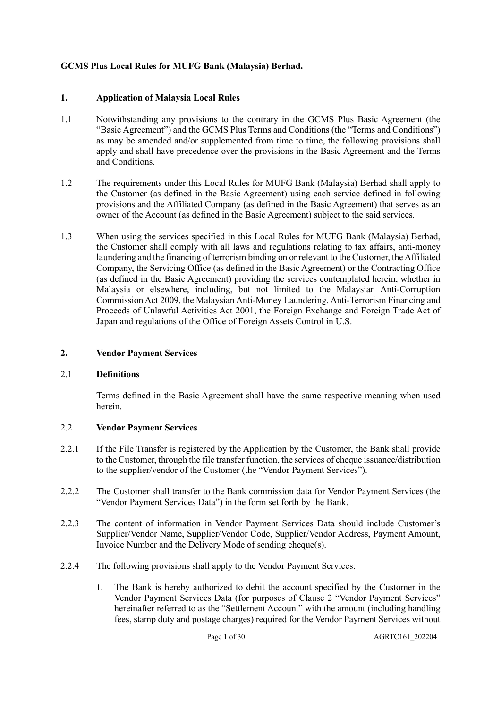## **GCMS Plus Local Rules for MUFG Bank (Malaysia) Berhad.**

## **1. Application of Malaysia Local Rules**

- 1.1 Notwithstanding any provisions to the contrary in the GCMS Plus Basic Agreement (the "Basic Agreement") and the GCMS Plus Terms and Conditions (the "Terms and Conditions") as may be amended and/or supplemented from time to time, the following provisions shall apply and shall have precedence over the provisions in the Basic Agreement and the Terms and Conditions.
- 1.2 The requirements under this Local Rules for MUFG Bank (Malaysia) Berhad shall apply to the Customer (as defined in the Basic Agreement) using each service defined in following provisions and the Affiliated Company (as defined in the Basic Agreement) that serves as an owner of the Account (as defined in the Basic Agreement) subject to the said services.
- 1.3 When using the services specified in this Local Rules for MUFG Bank (Malaysia) Berhad, the Customer shall comply with all laws and regulations relating to tax affairs, anti-money laundering and the financing of terrorism binding on or relevant to the Customer, the Affiliated Company, the Servicing Office (as defined in the Basic Agreement) or the Contracting Office (as defined in the Basic Agreement) providing the services contemplated herein, whether in Malaysia or elsewhere, including, but not limited to the Malaysian Anti-Corruption Commission Act 2009, the Malaysian Anti-Money Laundering, Anti-Terrorism Financing and Proceeds of Unlawful Activities Act 2001, the Foreign Exchange and Foreign Trade Act of Japan and regulations of the Office of Foreign Assets Control in U.S.

## **2. Vendor Payment Services**

## 2.1 **Definitions**

Terms defined in the Basic Agreement shall have the same respective meaning when used herein.

## 2.2 **Vendor Payment Services**

- 2.2.1 If the File Transfer is registered by the Application by the Customer, the Bank shall provide to the Customer, through the file transfer function, the services of cheque issuance/distribution to the supplier/vendor of the Customer (the "Vendor Payment Services").
- 2.2.2 The Customer shall transfer to the Bank commission data for Vendor Payment Services (the "Vendor Payment Services Data") in the form set forth by the Bank.
- 2.2.3 The content of information in Vendor Payment Services Data should include Customer's Supplier/Vendor Name, Supplier/Vendor Code, Supplier/Vendor Address, Payment Amount, Invoice Number and the Delivery Mode of sending cheque(s).
- 2.2.4 The following provisions shall apply to the Vendor Payment Services:
	- 1. The Bank is hereby authorized to debit the account specified by the Customer in the Vendor Payment Services Data (for purposes of Clause 2 "Vendor Payment Services" hereinafter referred to as the "Settlement Account" with the amount (including handling fees, stamp duty and postage charges) required for the Vendor Payment Services without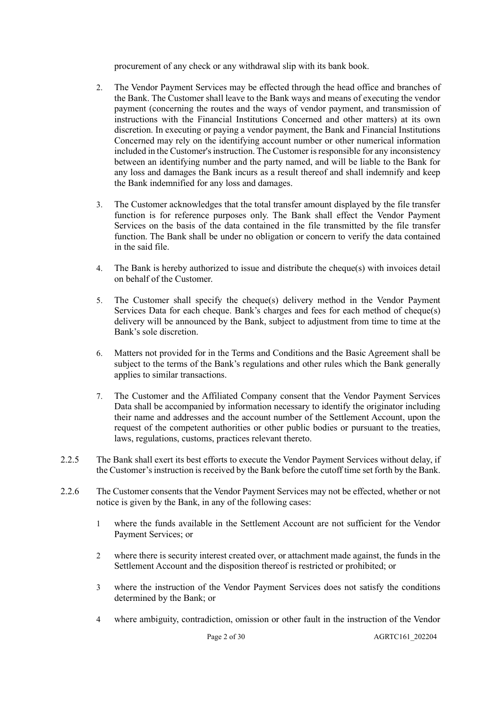procurement of any check or any withdrawal slip with its bank book.

- 2. The Vendor Payment Services may be effected through the head office and branches of the Bank. The Customer shall leave to the Bank ways and means of executing the vendor payment (concerning the routes and the ways of vendor payment, and transmission of instructions with the Financial Institutions Concerned and other matters) at its own discretion. In executing or paying a vendor payment, the Bank and Financial Institutions Concerned may rely on the identifying account number or other numerical information included in the Customer's instruction. The Customer is responsible for any inconsistency between an identifying number and the party named, and will be liable to the Bank for any loss and damages the Bank incurs as a result thereof and shall indemnify and keep the Bank indemnified for any loss and damages.
- 3. The Customer acknowledges that the total transfer amount displayed by the file transfer function is for reference purposes only. The Bank shall effect the Vendor Payment Services on the basis of the data contained in the file transmitted by the file transfer function. The Bank shall be under no obligation or concern to verify the data contained in the said file.
- 4. The Bank is hereby authorized to issue and distribute the cheque(s) with invoices detail on behalf of the Customer.
- 5. The Customer shall specify the cheque(s) delivery method in the Vendor Payment Services Data for each cheque. Bank's charges and fees for each method of cheque(s) delivery will be announced by the Bank, subject to adjustment from time to time at the Bank's sole discretion.
- 6. Matters not provided for in the Terms and Conditions and the Basic Agreement shall be subject to the terms of the Bank's regulations and other rules which the Bank generally applies to similar transactions.
- 7. The Customer and the Affiliated Company consent that the Vendor Payment Services Data shall be accompanied by information necessary to identify the originator including their name and addresses and the account number of the Settlement Account, upon the request of the competent authorities or other public bodies or pursuant to the treaties, laws, regulations, customs, practices relevant thereto.
- 2.2.5 The Bank shall exert its best efforts to execute the Vendor Payment Services without delay, if the Customer's instruction is received by the Bank before the cutoff time set forth by the Bank.
- 2.2.6 The Customer consents that the Vendor Payment Services may not be effected, whether or not notice is given by the Bank, in any of the following cases:
	- 1 where the funds available in the Settlement Account are not sufficient for the Vendor Payment Services; or
	- 2 where there is security interest created over, or attachment made against, the funds in the Settlement Account and the disposition thereof is restricted or prohibited; or
	- 3 where the instruction of the Vendor Payment Services does not satisfy the conditions determined by the Bank; or
	- 4 where ambiguity, contradiction, omission or other fault in the instruction of the Vendor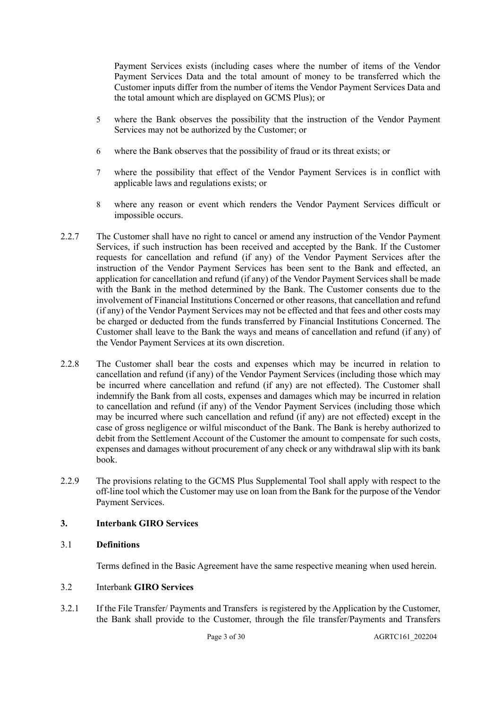Payment Services exists (including cases where the number of items of the Vendor Payment Services Data and the total amount of money to be transferred which the Customer inputs differ from the number of items the Vendor Payment Services Data and the total amount which are displayed on GCMS Plus); or

- 5 where the Bank observes the possibility that the instruction of the Vendor Payment Services may not be authorized by the Customer; or
- 6 where the Bank observes that the possibility of fraud or its threat exists; or
- 7 where the possibility that effect of the Vendor Payment Services is in conflict with applicable laws and regulations exists; or
- 8 where any reason or event which renders the Vendor Payment Services difficult or impossible occurs.
- 2.2.7 The Customer shall have no right to cancel or amend any instruction of the Vendor Payment Services, if such instruction has been received and accepted by the Bank. If the Customer requests for cancellation and refund (if any) of the Vendor Payment Services after the instruction of the Vendor Payment Services has been sent to the Bank and effected, an application for cancellation and refund (if any) of the Vendor Payment Services shall be made with the Bank in the method determined by the Bank. The Customer consents due to the involvement of Financial Institutions Concerned or other reasons, that cancellation and refund (if any) of the Vendor Payment Services may not be effected and that fees and other costs may be charged or deducted from the funds transferred by Financial Institutions Concerned. The Customer shall leave to the Bank the ways and means of cancellation and refund (if any) of the Vendor Payment Services at its own discretion.
- 2.2.8 The Customer shall bear the costs and expenses which may be incurred in relation to cancellation and refund (if any) of the Vendor Payment Services (including those which may be incurred where cancellation and refund (if any) are not effected). The Customer shall indemnify the Bank from all costs, expenses and damages which may be incurred in relation to cancellation and refund (if any) of the Vendor Payment Services (including those which may be incurred where such cancellation and refund (if any) are not effected) except in the case of gross negligence or wilful misconduct of the Bank. The Bank is hereby authorized to debit from the Settlement Account of the Customer the amount to compensate for such costs, expenses and damages without procurement of any check or any withdrawal slip with its bank book.
- 2.2.9 The provisions relating to the GCMS Plus Supplemental Tool shall apply with respect to the off-line tool which the Customer may use on loan from the Bank for the purpose of the Vendor Payment Services.

## **3. Interbank GIRO Services**

## 3.1 **Definitions**

Terms defined in the Basic Agreement have the same respective meaning when used herein.

## 3.2 Interbank **GIRO Services**

3.2.1 If the File Transfer/ Payments and Transfers is registered by the Application by the Customer, the Bank shall provide to the Customer, through the file transfer/Payments and Transfers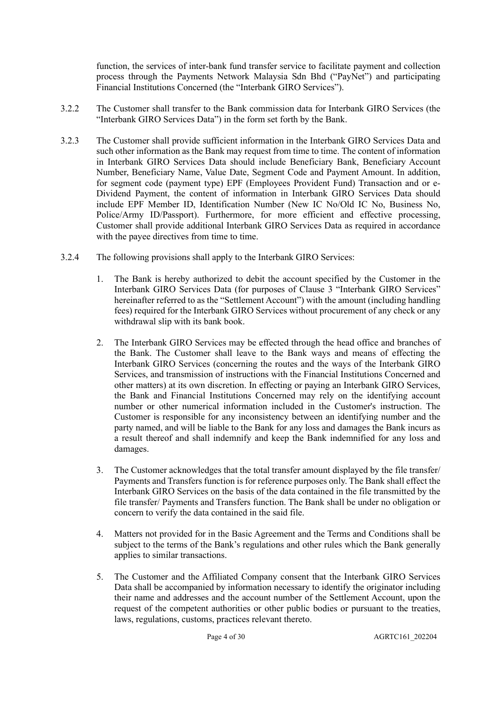function, the services of inter-bank fund transfer service to facilitate payment and collection process through the Payments Network Malaysia Sdn Bhd ("PayNet") and participating Financial Institutions Concerned (the "Interbank GIRO Services").

- 3.2.2 The Customer shall transfer to the Bank commission data for Interbank GIRO Services (the "Interbank GIRO Services Data") in the form set forth by the Bank.
- 3.2.3 The Customer shall provide sufficient information in the Interbank GIRO Services Data and such other information as the Bank may request from time to time. The content of information in Interbank GIRO Services Data should include Beneficiary Bank, Beneficiary Account Number, Beneficiary Name, Value Date, Segment Code and Payment Amount. In addition, for segment code (payment type) EPF (Employees Provident Fund) Transaction and or e-Dividend Payment, the content of information in Interbank GIRO Services Data should include EPF Member ID, Identification Number (New IC No/Old IC No, Business No, Police/Army ID/Passport). Furthermore, for more efficient and effective processing, Customer shall provide additional Interbank GIRO Services Data as required in accordance with the payee directives from time to time.
- 3.2.4 The following provisions shall apply to the Interbank GIRO Services:
	- 1. The Bank is hereby authorized to debit the account specified by the Customer in the Interbank GIRO Services Data (for purposes of Clause 3 "Interbank GIRO Services" hereinafter referred to as the "Settlement Account") with the amount (including handling fees) required for the Interbank GIRO Services without procurement of any check or any withdrawal slip with its bank book.
	- 2. The Interbank GIRO Services may be effected through the head office and branches of the Bank. The Customer shall leave to the Bank ways and means of effecting the Interbank GIRO Services (concerning the routes and the ways of the Interbank GIRO Services, and transmission of instructions with the Financial Institutions Concerned and other matters) at its own discretion. In effecting or paying an Interbank GIRO Services, the Bank and Financial Institutions Concerned may rely on the identifying account number or other numerical information included in the Customer's instruction. The Customer is responsible for any inconsistency between an identifying number and the party named, and will be liable to the Bank for any loss and damages the Bank incurs as a result thereof and shall indemnify and keep the Bank indemnified for any loss and damages.
	- 3. The Customer acknowledges that the total transfer amount displayed by the file transfer/ Payments and Transfers function is for reference purposes only. The Bank shall effect the Interbank GIRO Services on the basis of the data contained in the file transmitted by the file transfer/ Payments and Transfers function. The Bank shall be under no obligation or concern to verify the data contained in the said file.
	- 4. Matters not provided for in the Basic Agreement and the Terms and Conditions shall be subject to the terms of the Bank's regulations and other rules which the Bank generally applies to similar transactions.
	- 5. The Customer and the Affiliated Company consent that the Interbank GIRO Services Data shall be accompanied by information necessary to identify the originator including their name and addresses and the account number of the Settlement Account, upon the request of the competent authorities or other public bodies or pursuant to the treaties, laws, regulations, customs, practices relevant thereto.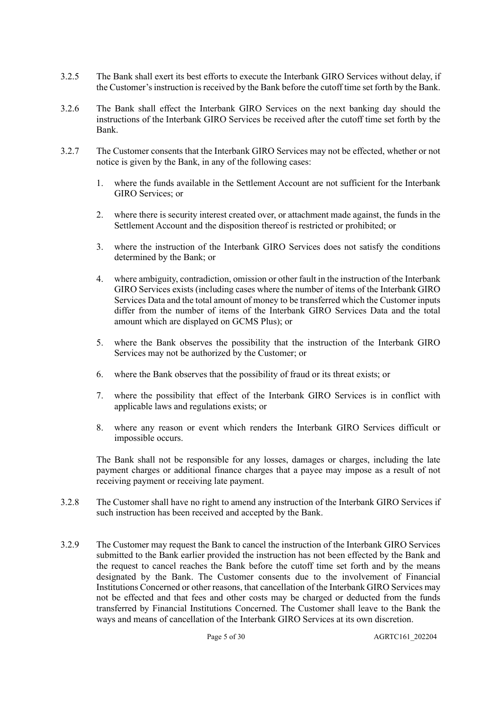- 3.2.5 The Bank shall exert its best efforts to execute the Interbank GIRO Services without delay, if the Customer's instruction is received by the Bank before the cutoff time set forth by the Bank.
- 3.2.6 The Bank shall effect the Interbank GIRO Services on the next banking day should the instructions of the Interbank GIRO Services be received after the cutoff time set forth by the Bank.
- 3.2.7 The Customer consents that the Interbank GIRO Services may not be effected, whether or not notice is given by the Bank, in any of the following cases:
	- 1. where the funds available in the Settlement Account are not sufficient for the Interbank GIRO Services; or
	- 2. where there is security interest created over, or attachment made against, the funds in the Settlement Account and the disposition thereof is restricted or prohibited; or
	- 3. where the instruction of the Interbank GIRO Services does not satisfy the conditions determined by the Bank; or
	- 4. where ambiguity, contradiction, omission or other fault in the instruction of the Interbank GIRO Services exists (including cases where the number of items of the Interbank GIRO Services Data and the total amount of money to be transferred which the Customer inputs differ from the number of items of the Interbank GIRO Services Data and the total amount which are displayed on GCMS Plus); or
	- 5. where the Bank observes the possibility that the instruction of the Interbank GIRO Services may not be authorized by the Customer; or
	- 6. where the Bank observes that the possibility of fraud or its threat exists; or
	- 7. where the possibility that effect of the Interbank GIRO Services is in conflict with applicable laws and regulations exists; or
	- 8. where any reason or event which renders the Interbank GIRO Services difficult or impossible occurs.

The Bank shall not be responsible for any losses, damages or charges, including the late payment charges or additional finance charges that a payee may impose as a result of not receiving payment or receiving late payment.

- 3.2.8 The Customer shall have no right to amend any instruction of the Interbank GIRO Services if such instruction has been received and accepted by the Bank.
- 3.2.9 The Customer may request the Bank to cancel the instruction of the Interbank GIRO Services submitted to the Bank earlier provided the instruction has not been effected by the Bank and the request to cancel reaches the Bank before the cutoff time set forth and by the means designated by the Bank. The Customer consents due to the involvement of Financial Institutions Concerned or other reasons, that cancellation of the Interbank GIRO Services may not be effected and that fees and other costs may be charged or deducted from the funds transferred by Financial Institutions Concerned. The Customer shall leave to the Bank the ways and means of cancellation of the Interbank GIRO Services at its own discretion.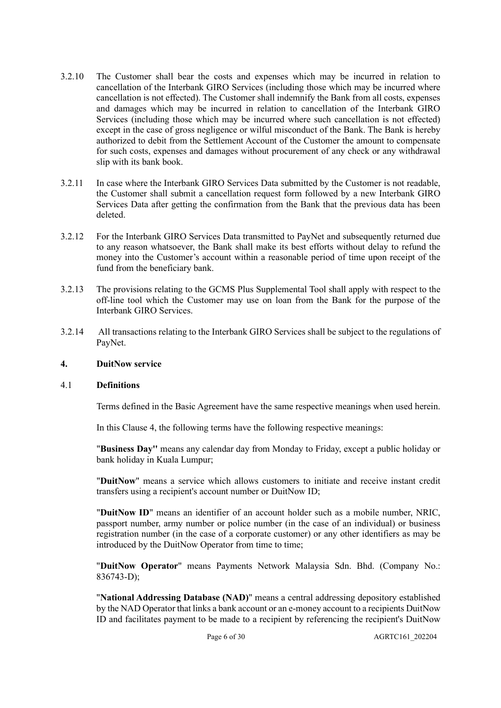- 3.2.10 The Customer shall bear the costs and expenses which may be incurred in relation to cancellation of the Interbank GIRO Services (including those which may be incurred where cancellation is not effected). The Customer shall indemnify the Bank from all costs, expenses and damages which may be incurred in relation to cancellation of the Interbank GIRO Services (including those which may be incurred where such cancellation is not effected) except in the case of gross negligence or wilful misconduct of the Bank. The Bank is hereby authorized to debit from the Settlement Account of the Customer the amount to compensate for such costs, expenses and damages without procurement of any check or any withdrawal slip with its bank book.
- 3.2.11 In case where the Interbank GIRO Services Data submitted by the Customer is not readable, the Customer shall submit a cancellation request form followed by a new Interbank GIRO Services Data after getting the confirmation from the Bank that the previous data has been deleted.
- 3.2.12 For the Interbank GIRO Services Data transmitted to PayNet and subsequently returned due to any reason whatsoever, the Bank shall make its best efforts without delay to refund the money into the Customer's account within a reasonable period of time upon receipt of the fund from the beneficiary bank.
- 3.2.13 The provisions relating to the GCMS Plus Supplemental Tool shall apply with respect to the off-line tool which the Customer may use on loan from the Bank for the purpose of the Interbank GIRO Services.
- 3.2.14 All transactions relating to the Interbank GIRO Services shall be subject to the regulations of PayNet.

#### **4. DuitNow service**

#### 4.1 **Definitions**

Terms defined in the Basic Agreement have the same respective meanings when used herein.

In this Clause 4, the following terms have the following respective meanings:

"**Business Day''** means any calendar day from Monday to Friday, except a public holiday or bank holiday in Kuala Lumpur;

"**DuitNow**" means a service which allows customers to initiate and receive instant credit transfers using a recipient's account number or DuitNow ID;

"**DuitNow ID**" means an identifier of an account holder such as a mobile number, NRIC, passport number, army number or police number (in the case of an individual) or business registration number (in the case of a corporate customer) or any other identifiers as may be introduced by the DuitNow Operator from time to time;

"**DuitNow Operator**" means Payments Network Malaysia Sdn. Bhd. (Company No.: 836743-D);

"**National Addressing Database (NAD)**" means a central addressing depository established by the NAD Operator that links a bank account or an e-money account to a recipients DuitNow ID and facilitates payment to be made to a recipient by referencing the recipient's DuitNow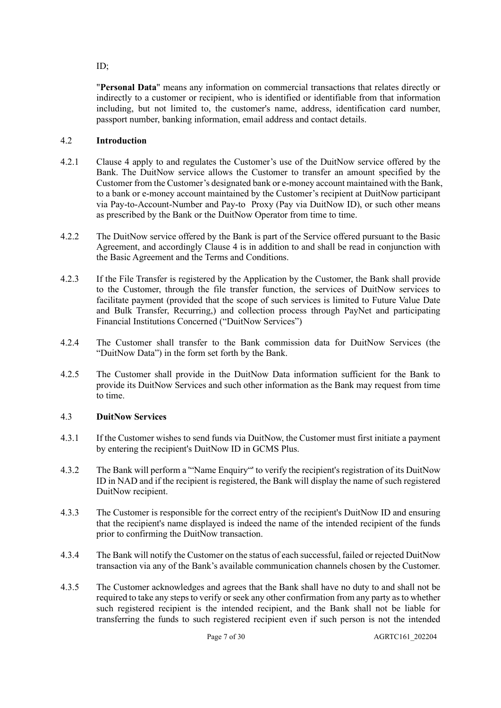ID;

"**Personal Data**" means any information on commercial transactions that relates directly or indirectly to a customer or recipient, who is identified or identifiable from that information including, but not limited to, the customer's name, address, identification card number, passport number, banking information, email address and contact details.

# 4.2 **Introduction**

- 4.2.1 Clause 4 apply to and regulates the Customer's use of the DuitNow service offered by the Bank. The DuitNow service allows the Customer to transfer an amount specified by the Customer from the Customer's designated bank or e-money account maintained with the Bank, to a bank or e-money account maintained by the Customer's recipient at DuitNow participant via Pay-to-Account-Number and Pay-to Proxy (Pay via DuitNow ID), or such other means as prescribed by the Bank or the DuitNow Operator from time to time.
- 4.2.2 The DuitNow service offered by the Bank is part of the Service offered pursuant to the Basic Agreement, and accordingly Clause 4 is in addition to and shall be read in conjunction with the Basic Agreement and the Terms and Conditions.
- 4.2.3 If the File Transfer is registered by the Application by the Customer, the Bank shall provide to the Customer, through the file transfer function, the services of DuitNow services to facilitate payment (provided that the scope of such services is limited to Future Value Date and Bulk Transfer, Recurring,) and collection process through PayNet and participating Financial Institutions Concerned ("DuitNow Services")
- 4.2.4 The Customer shall transfer to the Bank commission data for DuitNow Services (the "DuitNow Data") in the form set forth by the Bank.
- 4.2.5 The Customer shall provide in the DuitNow Data information sufficient for the Bank to provide its DuitNow Services and such other information as the Bank may request from time to time.

# 4.3 **DuitNow Services**

- 4.3.1 If the Customer wishes to send funds via DuitNow, the Customer must first initiate a payment by entering the recipient's DuitNow ID in GCMS Plus.
- 4.3.2 The Bank will perform a '"Name Enquiry"' to verify the recipient's registration of its DuitNow ID in NAD and if the recipient is registered, the Bank will display the name of such registered DuitNow recipient.
- 4.3.3 The Customer is responsible for the correct entry of the recipient's DuitNow ID and ensuring that the recipient's name displayed is indeed the name of the intended recipient of the funds prior to confirming the DuitNow transaction.
- 4.3.4 The Bank will notify the Customer on the status of each successful, failed or rejected DuitNow transaction via any of the Bank's available communication channels chosen by the Customer.
- 4.3.5 The Customer acknowledges and agrees that the Bank shall have no duty to and shall not be required to take any steps to verify or seek any other confirmation from any party as to whether such registered recipient is the intended recipient, and the Bank shall not be liable for transferring the funds to such registered recipient even if such person is not the intended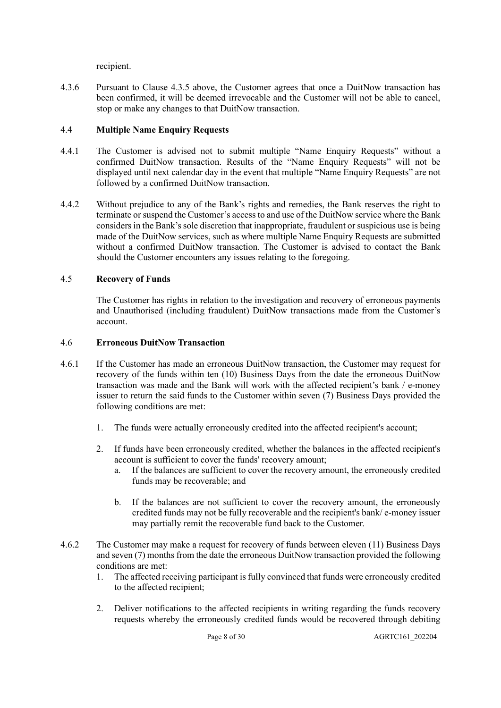recipient.

4.3.6 Pursuant to Clause 4.3.5 above, the Customer agrees that once a DuitNow transaction has been confirmed, it will be deemed irrevocable and the Customer will not be able to cancel, stop or make any changes to that DuitNow transaction.

## 4.4 **Multiple Name Enquiry Requests**

- 4.4.1 The Customer is advised not to submit multiple "Name Enquiry Requests" without a confirmed DuitNow transaction. Results of the "Name Enquiry Requests" will not be displayed until next calendar day in the event that multiple "Name Enquiry Requests" are not followed by a confirmed DuitNow transaction.
- 4.4.2 Without prejudice to any of the Bank's rights and remedies, the Bank reserves the right to terminate or suspend the Customer's access to and use of the DuitNow service where the Bank considers in the Bank's sole discretion that inappropriate, fraudulent or suspicious use is being made of the DuitNow services, such as where multiple Name Enquiry Requests are submitted without a confirmed DuitNow transaction. The Customer is advised to contact the Bank should the Customer encounters any issues relating to the foregoing.

## 4.5 **Recovery of Funds**

The Customer has rights in relation to the investigation and recovery of erroneous payments and Unauthorised (including fraudulent) DuitNow transactions made from the Customer's account.

## 4.6 **Erroneous DuitNow Transaction**

- 4.6.1 If the Customer has made an erroneous DuitNow transaction, the Customer may request for recovery of the funds within ten (10) Business Days from the date the erroneous DuitNow transaction was made and the Bank will work with the affected recipient's bank / e-money issuer to return the said funds to the Customer within seven (7) Business Days provided the following conditions are met:
	- 1. The funds were actually erroneously credited into the affected recipient's account;
	- 2. If funds have been erroneously credited, whether the balances in the affected recipient's account is sufficient to cover the funds' recovery amount;
		- a. If the balances are sufficient to cover the recovery amount, the erroneously credited funds may be recoverable; and
		- b. If the balances are not sufficient to cover the recovery amount, the erroneously credited funds may not be fully recoverable and the recipient's bank/ e-money issuer may partially remit the recoverable fund back to the Customer.
- 4.6.2 The Customer may make a request for recovery of funds between eleven (11) Business Days and seven (7) months from the date the erroneous DuitNow transaction provided the following conditions are met:
	- 1. The affected receiving participant is fully convinced that funds were erroneously credited to the affected recipient;
	- 2. Deliver notifications to the affected recipients in writing regarding the funds recovery requests whereby the erroneously credited funds would be recovered through debiting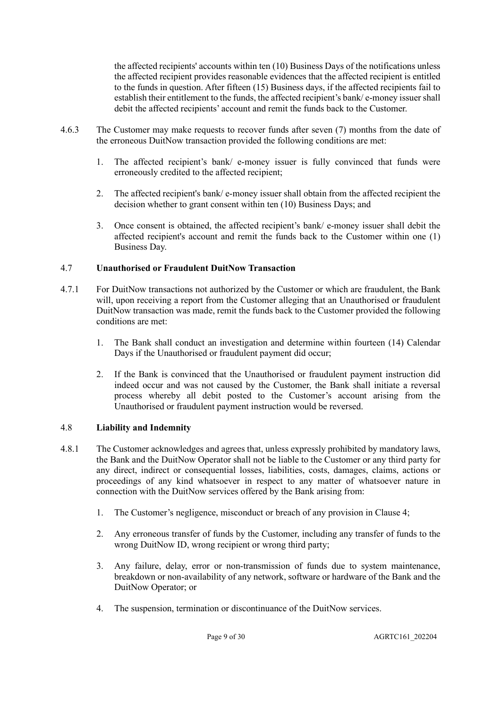the affected recipients' accounts within ten (10) Business Days of the notifications unless the affected recipient provides reasonable evidences that the affected recipient is entitled to the funds in question. After fifteen (15) Business days, if the affected recipients fail to establish their entitlement to the funds, the affected recipient's bank/ e-money issuer shall debit the affected recipients' account and remit the funds back to the Customer.

- 4.6.3 The Customer may make requests to recover funds after seven (7) months from the date of the erroneous DuitNow transaction provided the following conditions are met:
	- 1. The affected recipient's bank/ e-money issuer is fully convinced that funds were erroneously credited to the affected recipient;
	- 2. The affected recipient's bank/ e-money issuer shall obtain from the affected recipient the decision whether to grant consent within ten (10) Business Days; and
	- 3. Once consent is obtained, the affected recipient's bank/ e-money issuer shall debit the affected recipient's account and remit the funds back to the Customer within one (1) Business Day.

## 4.7 **Unauthorised or Fraudulent DuitNow Transaction**

- 4.7.1 For DuitNow transactions not authorized by the Customer or which are fraudulent, the Bank will, upon receiving a report from the Customer alleging that an Unauthorised or fraudulent DuitNow transaction was made, remit the funds back to the Customer provided the following conditions are met:
	- 1. The Bank shall conduct an investigation and determine within fourteen (14) Calendar Days if the Unauthorised or fraudulent payment did occur;
	- 2. If the Bank is convinced that the Unauthorised or fraudulent payment instruction did indeed occur and was not caused by the Customer, the Bank shall initiate a reversal process whereby all debit posted to the Customer's account arising from the Unauthorised or fraudulent payment instruction would be reversed.

#### 4.8 **Liability and Indemnity**

- 4.8.1 The Customer acknowledges and agrees that, unless expressly prohibited by mandatory laws, the Bank and the DuitNow Operator shall not be liable to the Customer or any third party for any direct, indirect or consequential losses, liabilities, costs, damages, claims, actions or proceedings of any kind whatsoever in respect to any matter of whatsoever nature in connection with the DuitNow services offered by the Bank arising from:
	- 1. The Customer's negligence, misconduct or breach of any provision in Clause 4;
	- 2. Any erroneous transfer of funds by the Customer, including any transfer of funds to the wrong DuitNow ID, wrong recipient or wrong third party;
	- 3. Any failure, delay, error or non-transmission of funds due to system maintenance, breakdown or non-availability of any network, software or hardware of the Bank and the DuitNow Operator; or
	- 4. The suspension, termination or discontinuance of the DuitNow services.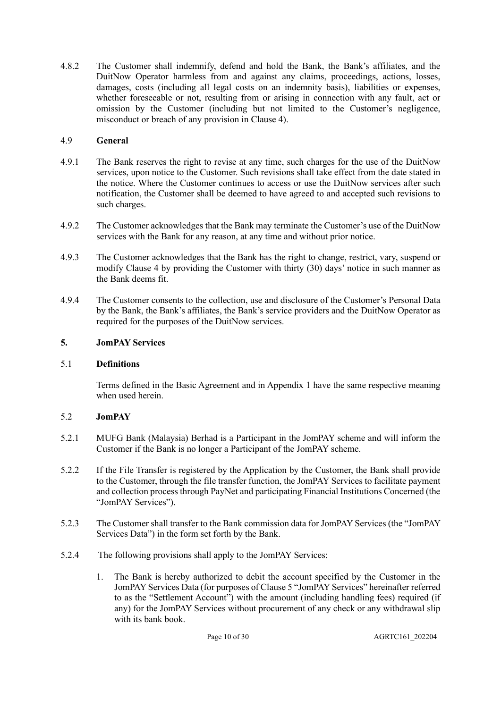4.8.2 The Customer shall indemnify, defend and hold the Bank, the Bank's affiliates, and the DuitNow Operator harmless from and against any claims, proceedings, actions, losses, damages, costs (including all legal costs on an indemnity basis), liabilities or expenses, whether foreseeable or not, resulting from or arising in connection with any fault, act or omission by the Customer (including but not limited to the Customer's negligence, misconduct or breach of any provision in Clause 4).

## 4.9 **General**

- 4.9.1 The Bank reserves the right to revise at any time, such charges for the use of the DuitNow services, upon notice to the Customer. Such revisions shall take effect from the date stated in the notice. Where the Customer continues to access or use the DuitNow services after such notification, the Customer shall be deemed to have agreed to and accepted such revisions to such charges.
- 4.9.2 The Customer acknowledges that the Bank may terminate the Customer's use of the DuitNow services with the Bank for any reason, at any time and without prior notice.
- 4.9.3 The Customer acknowledges that the Bank has the right to change, restrict, vary, suspend or modify Clause 4 by providing the Customer with thirty (30) days' notice in such manner as the Bank deems fit.
- 4.9.4 The Customer consents to the collection, use and disclosure of the Customer's Personal Data by the Bank, the Bank's affiliates, the Bank's service providers and the DuitNow Operator as required for the purposes of the DuitNow services.

## **5. JomPAY Services**

## 5.1 **Definitions**

Terms defined in the Basic Agreement and in Appendix 1 have the same respective meaning when used herein.

# 5.2 **JomPAY**

- 5.2.1 MUFG Bank (Malaysia) Berhad is a Participant in the JomPAY scheme and will inform the Customer if the Bank is no longer a Participant of the JomPAY scheme.
- 5.2.2 If the File Transfer is registered by the Application by the Customer, the Bank shall provide to the Customer, through the file transfer function, the JomPAY Services to facilitate payment and collection process through PayNet and participating Financial Institutions Concerned (the "JomPAY Services").
- 5.2.3 The Customer shall transfer to the Bank commission data for JomPAY Services (the "JomPAY Services Data") in the form set forth by the Bank.
- 5.2.4 The following provisions shall apply to the JomPAY Services:
	- 1. The Bank is hereby authorized to debit the account specified by the Customer in the JomPAY Services Data (for purposes of Clause 5 "JomPAY Services" hereinafter referred to as the "Settlement Account") with the amount (including handling fees) required (if any) for the JomPAY Services without procurement of any check or any withdrawal slip with its bank book.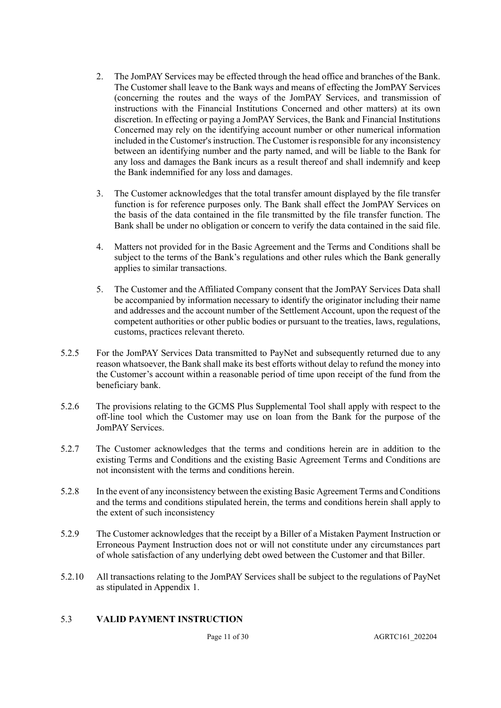- 2. The JomPAY Services may be effected through the head office and branches of the Bank. The Customer shall leave to the Bank ways and means of effecting the JomPAY Services (concerning the routes and the ways of the JomPAY Services, and transmission of instructions with the Financial Institutions Concerned and other matters) at its own discretion. In effecting or paying a JomPAY Services, the Bank and Financial Institutions Concerned may rely on the identifying account number or other numerical information included in the Customer's instruction. The Customer is responsible for any inconsistency between an identifying number and the party named, and will be liable to the Bank for any loss and damages the Bank incurs as a result thereof and shall indemnify and keep the Bank indemnified for any loss and damages.
- 3. The Customer acknowledges that the total transfer amount displayed by the file transfer function is for reference purposes only. The Bank shall effect the JomPAY Services on the basis of the data contained in the file transmitted by the file transfer function. The Bank shall be under no obligation or concern to verify the data contained in the said file.
- 4. Matters not provided for in the Basic Agreement and the Terms and Conditions shall be subject to the terms of the Bank's regulations and other rules which the Bank generally applies to similar transactions.
- 5. The Customer and the Affiliated Company consent that the JomPAY Services Data shall be accompanied by information necessary to identify the originator including their name and addresses and the account number of the Settlement Account, upon the request of the competent authorities or other public bodies or pursuant to the treaties, laws, regulations, customs, practices relevant thereto.
- 5.2.5 For the JomPAY Services Data transmitted to PayNet and subsequently returned due to any reason whatsoever, the Bank shall make its best efforts without delay to refund the money into the Customer's account within a reasonable period of time upon receipt of the fund from the beneficiary bank.
- 5.2.6 The provisions relating to the GCMS Plus Supplemental Tool shall apply with respect to the off-line tool which the Customer may use on loan from the Bank for the purpose of the JomPAY Services.
- 5.2.7 The Customer acknowledges that the terms and conditions herein are in addition to the existing Terms and Conditions and the existing Basic Agreement Terms and Conditions are not inconsistent with the terms and conditions herein.
- 5.2.8 In the event of any inconsistency between the existing Basic Agreement Terms and Conditions and the terms and conditions stipulated herein, the terms and conditions herein shall apply to the extent of such inconsistency
- 5.2.9 The Customer acknowledges that the receipt by a Biller of a Mistaken Payment Instruction or Erroneous Payment Instruction does not or will not constitute under any circumstances part of whole satisfaction of any underlying debt owed between the Customer and that Biller.
- 5.2.10 All transactions relating to the JomPAY Services shall be subject to the regulations of PayNet as stipulated in Appendix 1.

## 5.3 **VALID PAYMENT INSTRUCTION**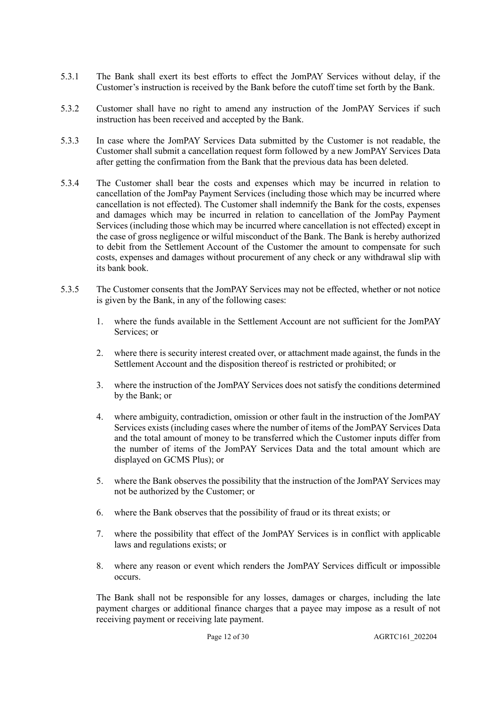- 5.3.1 The Bank shall exert its best efforts to effect the JomPAY Services without delay, if the Customer's instruction is received by the Bank before the cutoff time set forth by the Bank.
- 5.3.2 Customer shall have no right to amend any instruction of the JomPAY Services if such instruction has been received and accepted by the Bank.
- 5.3.3 In case where the JomPAY Services Data submitted by the Customer is not readable, the Customer shall submit a cancellation request form followed by a new JomPAY Services Data after getting the confirmation from the Bank that the previous data has been deleted.
- 5.3.4 The Customer shall bear the costs and expenses which may be incurred in relation to cancellation of the JomPay Payment Services (including those which may be incurred where cancellation is not effected). The Customer shall indemnify the Bank for the costs, expenses and damages which may be incurred in relation to cancellation of the JomPay Payment Services (including those which may be incurred where cancellation is not effected) except in the case of gross negligence or wilful misconduct of the Bank. The Bank is hereby authorized to debit from the Settlement Account of the Customer the amount to compensate for such costs, expenses and damages without procurement of any check or any withdrawal slip with its bank book.
- 5.3.5 The Customer consents that the JomPAY Services may not be effected, whether or not notice is given by the Bank, in any of the following cases:
	- 1. where the funds available in the Settlement Account are not sufficient for the JomPAY Services; or
	- 2. where there is security interest created over, or attachment made against, the funds in the Settlement Account and the disposition thereof is restricted or prohibited; or
	- 3. where the instruction of the JomPAY Services does not satisfy the conditions determined by the Bank; or
	- 4. where ambiguity, contradiction, omission or other fault in the instruction of the JomPAY Services exists (including cases where the number of items of the JomPAY Services Data and the total amount of money to be transferred which the Customer inputs differ from the number of items of the JomPAY Services Data and the total amount which are displayed on GCMS Plus); or
	- 5. where the Bank observes the possibility that the instruction of the JomPAY Services may not be authorized by the Customer; or
	- 6. where the Bank observes that the possibility of fraud or its threat exists; or
	- 7. where the possibility that effect of the JomPAY Services is in conflict with applicable laws and regulations exists; or
	- 8. where any reason or event which renders the JomPAY Services difficult or impossible occurs.

The Bank shall not be responsible for any losses, damages or charges, including the late payment charges or additional finance charges that a payee may impose as a result of not receiving payment or receiving late payment.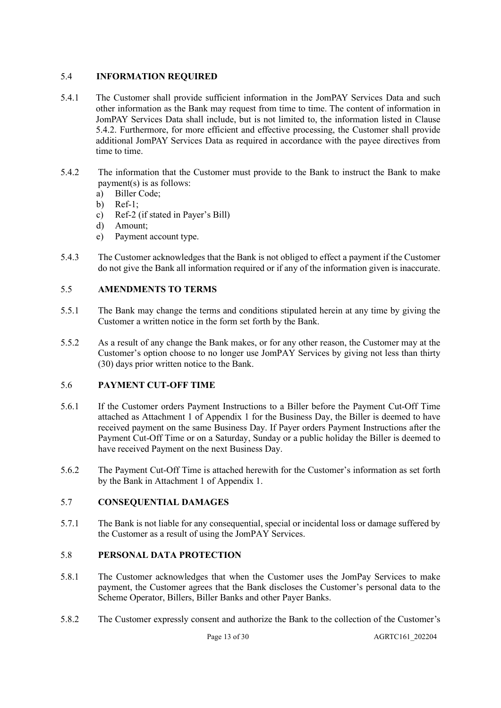## 5.4 **INFORMATION REQUIRED**

- 5.4.1 The Customer shall provide sufficient information in the JomPAY Services Data and such other information as the Bank may request from time to time. The content of information in JomPAY Services Data shall include, but is not limited to, the information listed in Clause 5.4.2. Furthermore, for more efficient and effective processing, the Customer shall provide additional JomPAY Services Data as required in accordance with the payee directives from time to time.
- 5.4.2 The information that the Customer must provide to the Bank to instruct the Bank to make payment(s) is as follows:
	- a) Biller Code;
	- b) Ref-1;
	- c) Ref-2 (if stated in Payer's Bill)
	- d) Amount;
	- e) Payment account type.
- 5.4.3 The Customer acknowledges that the Bank is not obliged to effect a payment if the Customer do not give the Bank all information required or if any of the information given is inaccurate.

## 5.5 **AMENDMENTS TO TERMS**

- 5.5.1 The Bank may change the terms and conditions stipulated herein at any time by giving the Customer a written notice in the form set forth by the Bank.
- 5.5.2 As a result of any change the Bank makes, or for any other reason, the Customer may at the Customer's option choose to no longer use JomPAY Services by giving not less than thirty (30) days prior written notice to the Bank.

## 5.6 **PAYMENT CUT-OFF TIME**

- 5.6.1 If the Customer orders Payment Instructions to a Biller before the Payment Cut-Off Time attached as Attachment 1 of Appendix 1 for the Business Day, the Biller is deemed to have received payment on the same Business Day. If Payer orders Payment Instructions after the Payment Cut-Off Time or on a Saturday, Sunday or a public holiday the Biller is deemed to have received Payment on the next Business Day.
- 5.6.2 The Payment Cut-Off Time is attached herewith for the Customer's information as set forth by the Bank in Attachment 1 of Appendix 1.

## 5.7 **CONSEQUENTIAL DAMAGES**

5.7.1 The Bank is not liable for any consequential, special or incidental loss or damage suffered by the Customer as a result of using the JomPAY Services.

## 5.8 **PERSONAL DATA PROTECTION**

- 5.8.1 The Customer acknowledges that when the Customer uses the JomPay Services to make payment, the Customer agrees that the Bank discloses the Customer's personal data to the Scheme Operator, Billers, Biller Banks and other Payer Banks.
- 5.8.2 The Customer expressly consent and authorize the Bank to the collection of the Customer's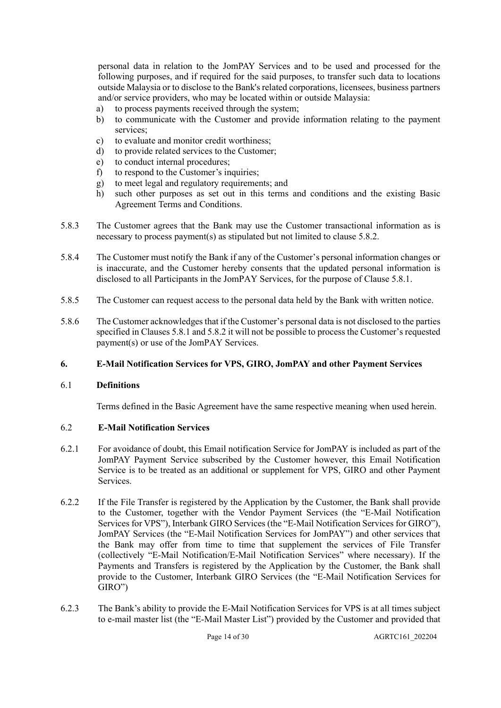personal data in relation to the JomPAY Services and to be used and processed for the following purposes, and if required for the said purposes, to transfer such data to locations outside Malaysia or to disclose to the Bank's related corporations, licensees, business partners and/or service providers, who may be located within or outside Malaysia:

- a) to process payments received through the system;
- b) to communicate with the Customer and provide information relating to the payment services;
- c) to evaluate and monitor credit worthiness;
- d) to provide related services to the Customer;
- e) to conduct internal procedures;
- f) to respond to the Customer's inquiries;
- g) to meet legal and regulatory requirements; and
- h) such other purposes as set out in this terms and conditions and the existing Basic Agreement Terms and Conditions.
- 5.8.3 The Customer agrees that the Bank may use the Customer transactional information as is necessary to process payment(s) as stipulated but not limited to clause 5.8.2.
- 5.8.4 The Customer must notify the Bank if any of the Customer's personal information changes or is inaccurate, and the Customer hereby consents that the updated personal information is disclosed to all Participants in the JomPAY Services, for the purpose of Clause 5.8.1.
- 5.8.5 The Customer can request access to the personal data held by the Bank with written notice.
- 5.8.6 The Customer acknowledges that if the Customer's personal data is not disclosed to the parties specified in Clauses 5.8.1 and 5.8.2 it will not be possible to process the Customer's requested payment(s) or use of the JomPAY Services.

#### **6. E-Mail Notification Services for VPS, GIRO, JomPAY and other Payment Services**

#### 6.1 **Definitions**

Terms defined in the Basic Agreement have the same respective meaning when used herein.

#### 6.2 **E-Mail Notification Services**

- 6.2.1 For avoidance of doubt, this Email notification Service for JomPAY is included as part of the JomPAY Payment Service subscribed by the Customer however, this Email Notification Service is to be treated as an additional or supplement for VPS, GIRO and other Payment Services.
- 6.2.2 If the File Transfer is registered by the Application by the Customer, the Bank shall provide to the Customer, together with the Vendor Payment Services (the "E-Mail Notification Services for VPS"), Interbank GIRO Services (the "E-Mail Notification Services for GIRO"), JomPAY Services (the "E-Mail Notification Services for JomPAY") and other services that the Bank may offer from time to time that supplement the services of File Transfer (collectively "E-Mail Notification/E-Mail Notification Services" where necessary). If the Payments and Transfers is registered by the Application by the Customer, the Bank shall provide to the Customer, Interbank GIRO Services (the "E-Mail Notification Services for GIRO")
- 6.2.3 The Bank's ability to provide the E-Mail Notification Services for VPS is at all times subject to e-mail master list (the "E-Mail Master List") provided by the Customer and provided that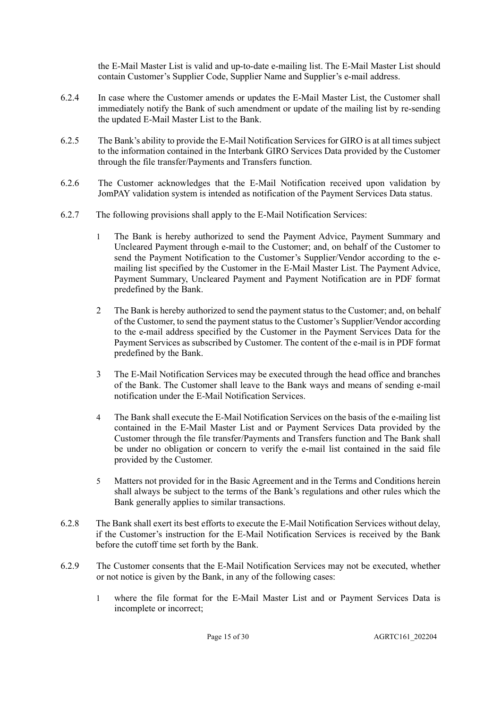the E-Mail Master List is valid and up-to-date e-mailing list. The E-Mail Master List should contain Customer's Supplier Code, Supplier Name and Supplier's e-mail address.

- 6.2.4 In case where the Customer amends or updates the E-Mail Master List, the Customer shall immediately notify the Bank of such amendment or update of the mailing list by re-sending the updated E-Mail Master List to the Bank.
- 6.2.5 The Bank's ability to provide the E-Mail Notification Services for GIRO is at all times subject to the information contained in the Interbank GIRO Services Data provided by the Customer through the file transfer/Payments and Transfers function.
- 6.2.6 The Customer acknowledges that the E-Mail Notification received upon validation by JomPAY validation system is intended as notification of the Payment Services Data status.
- 6.2.7 The following provisions shall apply to the E-Mail Notification Services:
	- 1 The Bank is hereby authorized to send the Payment Advice, Payment Summary and Uncleared Payment through e-mail to the Customer; and, on behalf of the Customer to send the Payment Notification to the Customer's Supplier/Vendor according to the emailing list specified by the Customer in the E-Mail Master List. The Payment Advice, Payment Summary, Uncleared Payment and Payment Notification are in PDF format predefined by the Bank.
	- 2 The Bank is hereby authorized to send the payment status to the Customer; and, on behalf of the Customer, to send the payment status to the Customer's Supplier/Vendor according to the e-mail address specified by the Customer in the Payment Services Data for the Payment Services as subscribed by Customer. The content of the e-mail is in PDF format predefined by the Bank.
	- 3 The E-Mail Notification Services may be executed through the head office and branches of the Bank. The Customer shall leave to the Bank ways and means of sending e-mail notification under the E-Mail Notification Services.
	- 4 The Bank shall execute the E-Mail Notification Services on the basis of the e-mailing list contained in the E-Mail Master List and or Payment Services Data provided by the Customer through the file transfer/Payments and Transfers function and The Bank shall be under no obligation or concern to verify the e-mail list contained in the said file provided by the Customer.
	- 5 Matters not provided for in the Basic Agreement and in the Terms and Conditions herein shall always be subject to the terms of the Bank's regulations and other rules which the Bank generally applies to similar transactions.
- 6.2.8 The Bank shall exert its best efforts to execute the E-Mail Notification Services without delay, if the Customer's instruction for the E-Mail Notification Services is received by the Bank before the cutoff time set forth by the Bank.
- 6.2.9 The Customer consents that the E-Mail Notification Services may not be executed, whether or not notice is given by the Bank, in any of the following cases:
	- 1 where the file format for the E-Mail Master List and or Payment Services Data is incomplete or incorrect;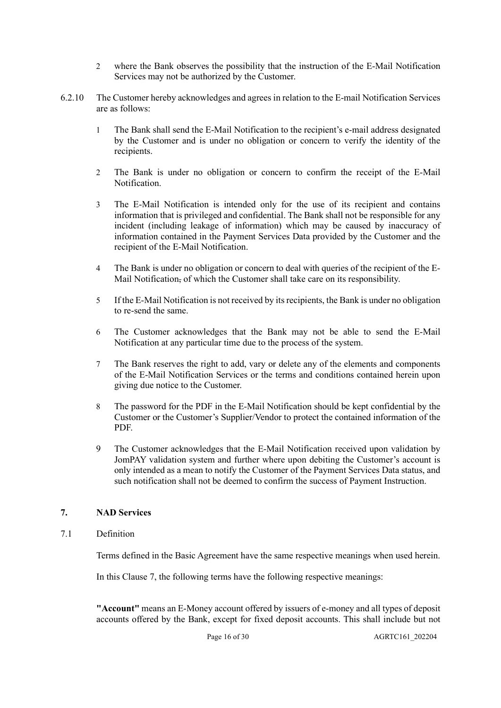- 2 where the Bank observes the possibility that the instruction of the E-Mail Notification Services may not be authorized by the Customer.
- 6.2.10 The Customer hereby acknowledges and agrees in relation to the E-mail Notification Services are as follows:
	- 1 The Bank shall send the E-Mail Notification to the recipient's e-mail address designated by the Customer and is under no obligation or concern to verify the identity of the recipients.
	- 2 The Bank is under no obligation or concern to confirm the receipt of the E-Mail Notification.
	- 3 The E-Mail Notification is intended only for the use of its recipient and contains information that is privileged and confidential. The Bank shall not be responsible for any incident (including leakage of information) which may be caused by inaccuracy of information contained in the Payment Services Data provided by the Customer and the recipient of the E-Mail Notification.
	- 4 The Bank is under no obligation or concern to deal with queries of the recipient of the E-Mail Notification, of which the Customer shall take care on its responsibility.
	- 5 If the E-Mail Notification is not received by its recipients, the Bank is under no obligation to re-send the same.
	- 6 The Customer acknowledges that the Bank may not be able to send the E-Mail Notification at any particular time due to the process of the system.
	- 7 The Bank reserves the right to add, vary or delete any of the elements and components of the E-Mail Notification Services or the terms and conditions contained herein upon giving due notice to the Customer.
	- 8 The password for the PDF in the E-Mail Notification should be kept confidential by the Customer or the Customer's Supplier/Vendor to protect the contained information of the PDF.
	- 9 The Customer acknowledges that the E-Mail Notification received upon validation by JomPAY validation system and further where upon debiting the Customer's account is only intended as a mean to notify the Customer of the Payment Services Data status, and such notification shall not be deemed to confirm the success of Payment Instruction.

## **7. NAD Services**

## 7.1 Definition

Terms defined in the Basic Agreement have the same respective meanings when used herein.

In this Clause 7, the following terms have the following respective meanings:

**"Account"** means an E-Money account offered by issuers of e-money and all types of deposit accounts offered by the Bank, except for fixed deposit accounts. This shall include but not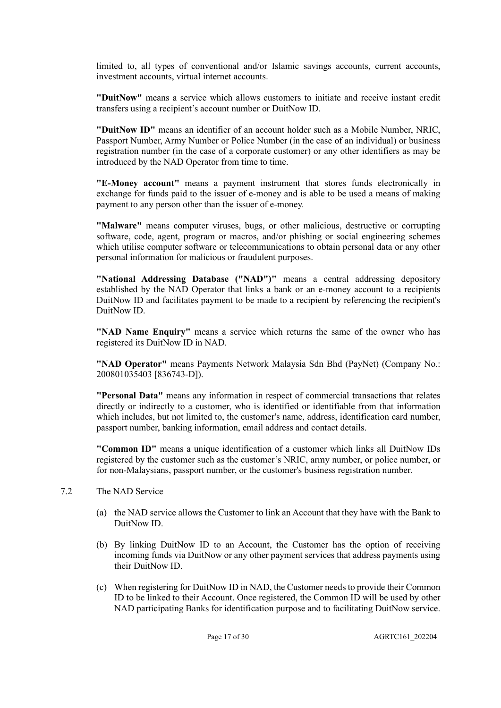limited to, all types of conventional and/or Islamic savings accounts, current accounts, investment accounts, virtual internet accounts.

**"DuitNow"** means a service which allows customers to initiate and receive instant credit transfers using a recipient's account number or DuitNow ID.

**"DuitNow ID"** means an identifier of an account holder such as a Mobile Number, NRIC, Passport Number, Army Number or Police Number (in the case of an individual) or business registration number (in the case of a corporate customer) or any other identifiers as may be introduced by the NAD Operator from time to time.

**"E-Money account"** means a payment instrument that stores funds electronically in exchange for funds paid to the issuer of e-money and is able to be used a means of making payment to any person other than the issuer of e-money.

**"Malware"** means computer viruses, bugs, or other malicious, destructive or corrupting software, code, agent, program or macros, and/or phishing or social engineering schemes which utilise computer software or telecommunications to obtain personal data or any other personal information for malicious or fraudulent purposes.

**"National Addressing Database ("NAD")"** means a central addressing depository established by the NAD Operator that links a bank or an e-money account to a recipients DuitNow ID and facilitates payment to be made to a recipient by referencing the recipient's DuitNow ID.

**"NAD Name Enquiry"** means a service which returns the same of the owner who has registered its DuitNow ID in NAD.

**"NAD Operator"** means Payments Network Malaysia Sdn Bhd (PayNet) (Company No.: 200801035403 [836743-D]).

**"Personal Data"** means any information in respect of commercial transactions that relates directly or indirectly to a customer, who is identified or identifiable from that information which includes, but not limited to, the customer's name, address, identification card number, passport number, banking information, email address and contact details.

**"Common ID"** means a unique identification of a customer which links all DuitNow IDs registered by the customer such as the customer's NRIC, army number, or police number, or for non-Malaysians, passport number, or the customer's business registration number.

- 7.2 The NAD Service
	- (a) the NAD service allows the Customer to link an Account that they have with the Bank to DuitNow ID.
	- (b) By linking DuitNow ID to an Account, the Customer has the option of receiving incoming funds via DuitNow or any other payment services that address payments using their DuitNow ID.
	- (c) When registering for DuitNow ID in NAD, the Customer needs to provide their Common ID to be linked to their Account. Once registered, the Common ID will be used by other NAD participating Banks for identification purpose and to facilitating DuitNow service.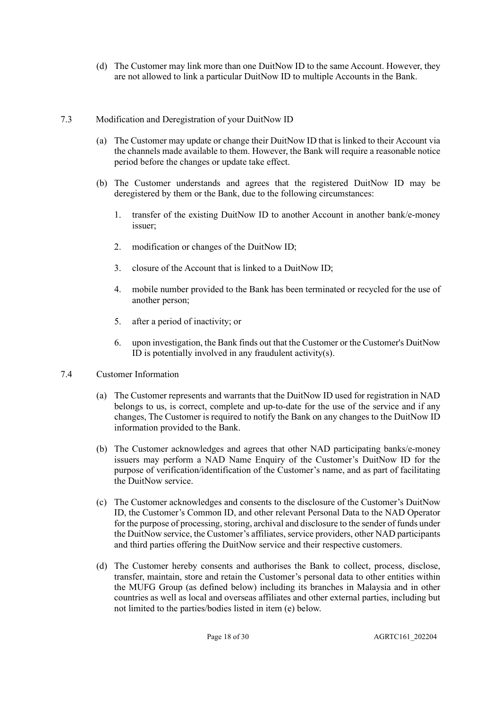(d) The Customer may link more than one DuitNow ID to the same Account. However, they are not allowed to link a particular DuitNow ID to multiple Accounts in the Bank.

## 7.3 Modification and Deregistration of your DuitNow ID

- (a) The Customer may update or change their DuitNow ID that is linked to their Account via the channels made available to them. However, the Bank will require a reasonable notice period before the changes or update take effect.
- (b) The Customer understands and agrees that the registered DuitNow ID may be deregistered by them or the Bank, due to the following circumstances:
	- 1. transfer of the existing DuitNow ID to another Account in another bank/e-money issuer;
	- 2. modification or changes of the DuitNow ID;
	- 3. closure of the Account that is linked to a DuitNow ID;
	- 4. mobile number provided to the Bank has been terminated or recycled for the use of another person;
	- 5. after a period of inactivity; or
	- 6. upon investigation, the Bank finds out that the Customer or the Customer's DuitNow ID is potentially involved in any fraudulent activity(s).

## 7.4 Customer Information

- (a) The Customer represents and warrants that the DuitNow ID used for registration in NAD belongs to us, is correct, complete and up-to-date for the use of the service and if any changes, The Customer is required to notify the Bank on any changes to the DuitNow ID information provided to the Bank.
- (b) The Customer acknowledges and agrees that other NAD participating banks/e-money issuers may perform a NAD Name Enquiry of the Customer's DuitNow ID for the purpose of verification/identification of the Customer's name, and as part of facilitating the DuitNow service.
- (c) The Customer acknowledges and consents to the disclosure of the Customer's DuitNow ID, the Customer's Common ID, and other relevant Personal Data to the NAD Operator for the purpose of processing, storing, archival and disclosure to the sender of funds under the DuitNow service, the Customer's affiliates, service providers, other NAD participants and third parties offering the DuitNow service and their respective customers.
- (d) The Customer hereby consents and authorises the Bank to collect, process, disclose, transfer, maintain, store and retain the Customer's personal data to other entities within the MUFG Group (as defined below) including its branches in Malaysia and in other countries as well as local and overseas affiliates and other external parties, including but not limited to the parties/bodies listed in item (e) below.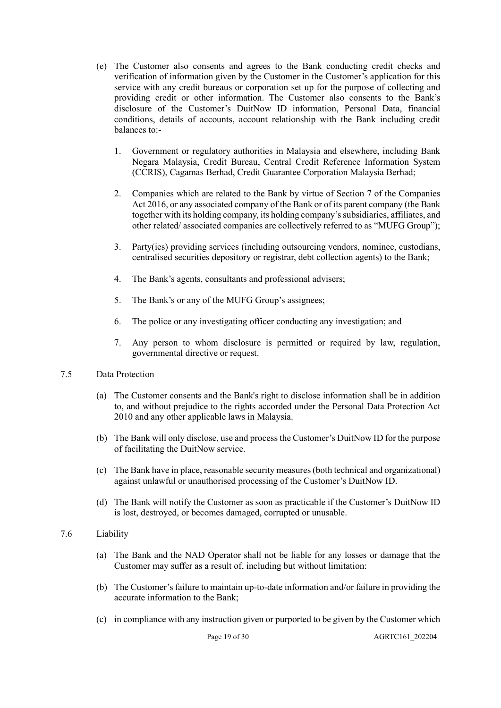- (e) The Customer also consents and agrees to the Bank conducting credit checks and verification of information given by the Customer in the Customer's application for this service with any credit bureaus or corporation set up for the purpose of collecting and providing credit or other information. The Customer also consents to the Bank's disclosure of the Customer's DuitNow ID information, Personal Data, financial conditions, details of accounts, account relationship with the Bank including credit balances to:-
	- 1. Government or regulatory authorities in Malaysia and elsewhere, including Bank Negara Malaysia, Credit Bureau, Central Credit Reference Information System (CCRIS), Cagamas Berhad, Credit Guarantee Corporation Malaysia Berhad;
	- 2. Companies which are related to the Bank by virtue of Section 7 of the Companies Act 2016, or any associated company of the Bank or of its parent company (the Bank together with its holding company, its holding company's subsidiaries, affiliates, and other related/ associated companies are collectively referred to as "MUFG Group");
	- 3. Party(ies) providing services (including outsourcing vendors, nominee, custodians, centralised securities depository or registrar, debt collection agents) to the Bank;
	- 4. The Bank's agents, consultants and professional advisers;
	- 5. The Bank's or any of the MUFG Group's assignees;
	- 6. The police or any investigating officer conducting any investigation; and
	- 7. Any person to whom disclosure is permitted or required by law, regulation, governmental directive or request.

## 7.5 Data Protection

- (a) The Customer consents and the Bank's right to disclose information shall be in addition to, and without prejudice to the rights accorded under the Personal Data Protection Act 2010 and any other applicable laws in Malaysia.
- (b) The Bank will only disclose, use and process the Customer's DuitNow ID for the purpose of facilitating the DuitNow service.
- (c) The Bank have in place, reasonable security measures (both technical and organizational) against unlawful or unauthorised processing of the Customer's DuitNow ID.
- (d) The Bank will notify the Customer as soon as practicable if the Customer's DuitNow ID is lost, destroyed, or becomes damaged, corrupted or unusable.

#### 7.6 Liability

- (a) The Bank and the NAD Operator shall not be liable for any losses or damage that the Customer may suffer as a result of, including but without limitation:
- (b) The Customer's failure to maintain up-to-date information and/or failure in providing the accurate information to the Bank;
- (c) in compliance with any instruction given or purported to be given by the Customer which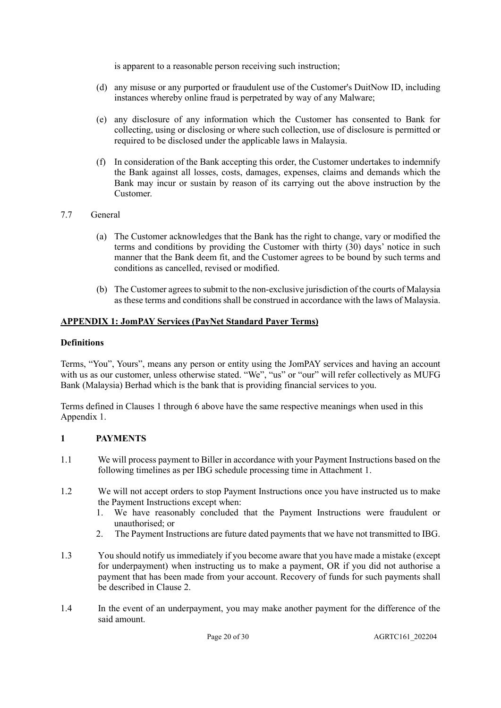is apparent to a reasonable person receiving such instruction;

- (d) any misuse or any purported or fraudulent use of the Customer's DuitNow ID, including instances whereby online fraud is perpetrated by way of any Malware;
- (e) any disclosure of any information which the Customer has consented to Bank for collecting, using or disclosing or where such collection, use of disclosure is permitted or required to be disclosed under the applicable laws in Malaysia.
- (f) In consideration of the Bank accepting this order, the Customer undertakes to indemnify the Bank against all losses, costs, damages, expenses, claims and demands which the Bank may incur or sustain by reason of its carrying out the above instruction by the Customer.
- 7.7 General
	- (a) The Customer acknowledges that the Bank has the right to change, vary or modified the terms and conditions by providing the Customer with thirty (30) days' notice in such manner that the Bank deem fit, and the Customer agrees to be bound by such terms and conditions as cancelled, revised or modified.
	- (b) The Customer agrees to submit to the non-exclusive jurisdiction of the courts of Malaysia as these terms and conditions shall be construed in accordance with the laws of Malaysia.

## **APPENDIX 1: JomPAY Services (PayNet Standard Payer Terms)**

#### **Definitions**

Terms, "You", Yours", means any person or entity using the JomPAY services and having an account with us as our customer, unless otherwise stated. "We", "us" or "our" will refer collectively as MUFG Bank (Malaysia) Berhad which is the bank that is providing financial services to you.

Terms defined in Clauses 1 through 6 above have the same respective meanings when used in this Appendix 1.

## **1 PAYMENTS**

- 1.1 We will process payment to Biller in accordance with your Payment Instructions based on the following timelines as per IBG schedule processing time in Attachment 1.
- 1.2 We will not accept orders to stop Payment Instructions once you have instructed us to make the Payment Instructions except when:
	- 1. We have reasonably concluded that the Payment Instructions were fraudulent or unauthorised; or
	- 2. The Payment Instructions are future dated payments that we have not transmitted to IBG.
- 1.3 You should notify us immediately if you become aware that you have made a mistake (except for underpayment) when instructing us to make a payment, OR if you did not authorise a payment that has been made from your account. Recovery of funds for such payments shall be described in Clause 2.
- 1.4 In the event of an underpayment, you may make another payment for the difference of the said amount.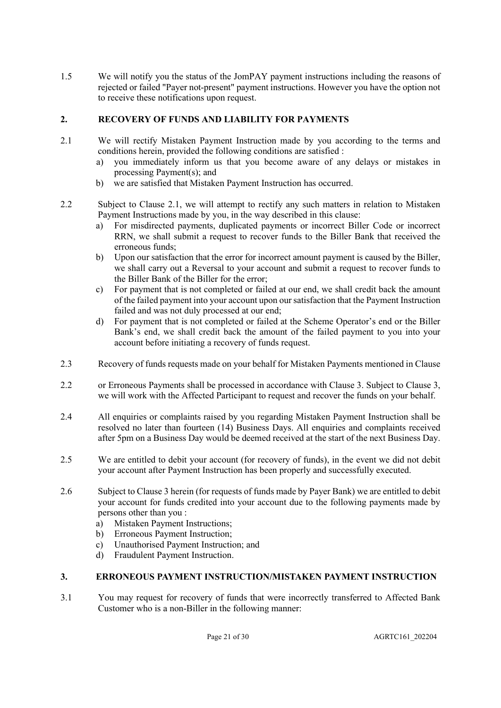1.5 We will notify you the status of the JomPAY payment instructions including the reasons of rejected or failed "Payer not-present" payment instructions. However you have the option not to receive these notifications upon request.

# **2. RECOVERY OF FUNDS AND LIABILITY FOR PAYMENTS**

- 2.1 We will rectify Mistaken Payment Instruction made by you according to the terms and conditions herein, provided the following conditions are satisfied :
	- a) you immediately inform us that you become aware of any delays or mistakes in processing Payment(s); and
	- b) we are satisfied that Mistaken Payment Instruction has occurred.
- 2.2 Subject to Clause 2.1, we will attempt to rectify any such matters in relation to Mistaken Payment Instructions made by you, in the way described in this clause:
	- a) For misdirected payments, duplicated payments or incorrect Biller Code or incorrect RRN, we shall submit a request to recover funds to the Biller Bank that received the erroneous funds;
	- b) Upon our satisfaction that the error for incorrect amount payment is caused by the Biller, we shall carry out a Reversal to your account and submit a request to recover funds to the Biller Bank of the Biller for the error;
	- c) For payment that is not completed or failed at our end, we shall credit back the amount of the failed payment into your account upon our satisfaction that the Payment Instruction failed and was not duly processed at our end;
	- d) For payment that is not completed or failed at the Scheme Operator's end or the Biller Bank's end, we shall credit back the amount of the failed payment to you into your account before initiating a recovery of funds request.
- 2.3 Recovery of funds requests made on your behalf for Mistaken Payments mentioned in Clause
- 2.2 or Erroneous Payments shall be processed in accordance with Clause 3. Subject to Clause 3, we will work with the Affected Participant to request and recover the funds on your behalf.
- 2.4 All enquiries or complaints raised by you regarding Mistaken Payment Instruction shall be resolved no later than fourteen (14) Business Days. All enquiries and complaints received after 5pm on a Business Day would be deemed received at the start of the next Business Day.
- 2.5 We are entitled to debit your account (for recovery of funds), in the event we did not debit your account after Payment Instruction has been properly and successfully executed.
- 2.6 Subject to Clause 3 herein (for requests of funds made by Payer Bank) we are entitled to debit your account for funds credited into your account due to the following payments made by persons other than you :
	- a) Mistaken Payment Instructions;
	- b) Erroneous Payment Instruction;
	- c) Unauthorised Payment Instruction; and
	- d) Fraudulent Payment Instruction.

# **3. ERRONEOUS PAYMENT INSTRUCTION/MISTAKEN PAYMENT INSTRUCTION**

3.1 You may request for recovery of funds that were incorrectly transferred to Affected Bank Customer who is a non-Biller in the following manner: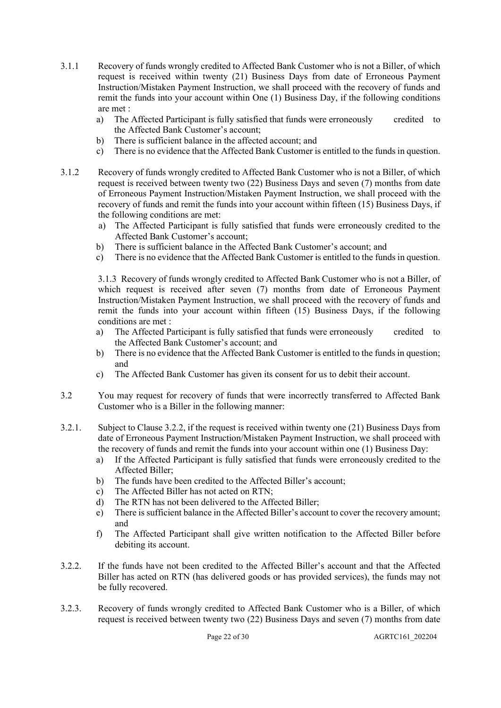- 3.1.1 Recovery of funds wrongly credited to Affected Bank Customer who is not a Biller, of which request is received within twenty (21) Business Days from date of Erroneous Payment Instruction/Mistaken Payment Instruction, we shall proceed with the recovery of funds and remit the funds into your account within One (1) Business Day, if the following conditions are met :
	- a) The Affected Participant is fully satisfied that funds were erroneously credited to the Affected Bank Customer's account;
	- b) There is sufficient balance in the affected account; and
	- c) There is no evidence that the Affected Bank Customer is entitled to the funds in question.
- 3.1.2 Recovery of funds wrongly credited to Affected Bank Customer who is not a Biller, of which request is received between twenty two (22) Business Days and seven (7) months from date of Erroneous Payment Instruction/Mistaken Payment Instruction, we shall proceed with the recovery of funds and remit the funds into your account within fifteen (15) Business Days, if the following conditions are met:
	- a) The Affected Participant is fully satisfied that funds were erroneously credited to the Affected Bank Customer's account;
	- b) There is sufficient balance in the Affected Bank Customer's account; and
	- c) There is no evidence that the Affected Bank Customer is entitled to the funds in question.

3.1.3 Recovery of funds wrongly credited to Affected Bank Customer who is not a Biller, of which request is received after seven (7) months from date of Erroneous Payment Instruction/Mistaken Payment Instruction, we shall proceed with the recovery of funds and remit the funds into your account within fifteen (15) Business Days, if the following conditions are met :

- a) The Affected Participant is fully satisfied that funds were erroneously credited to the Affected Bank Customer's account; and
- b) There is no evidence that the Affected Bank Customer is entitled to the funds in question; and
- c) The Affected Bank Customer has given its consent for us to debit their account.
- 3.2 You may request for recovery of funds that were incorrectly transferred to Affected Bank Customer who is a Biller in the following manner:
- 3.2.1. Subject to Clause 3.2.2, if the request is received within twenty one (21) Business Days from date of Erroneous Payment Instruction/Mistaken Payment Instruction, we shall proceed with the recovery of funds and remit the funds into your account within one (1) Business Day:
	- a) If the Affected Participant is fully satisfied that funds were erroneously credited to the Affected Biller;
	- b) The funds have been credited to the Affected Biller's account;
	- c) The Affected Biller has not acted on RTN;
	- d) The RTN has not been delivered to the Affected Biller;
	- e) There is sufficient balance in the Affected Biller's account to cover the recovery amount; and
	- f) The Affected Participant shall give written notification to the Affected Biller before debiting its account.
- 3.2.2. If the funds have not been credited to the Affected Biller's account and that the Affected Biller has acted on RTN (has delivered goods or has provided services), the funds may not be fully recovered.
- 3.2.3. Recovery of funds wrongly credited to Affected Bank Customer who is a Biller, of which request is received between twenty two (22) Business Days and seven (7) months from date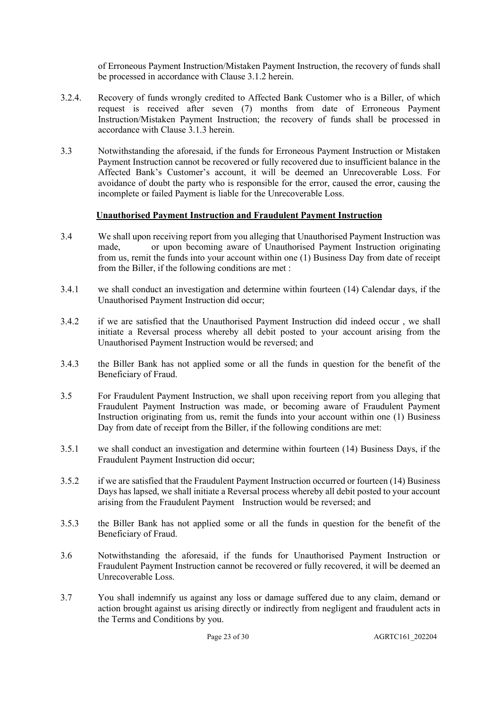of Erroneous Payment Instruction/Mistaken Payment Instruction, the recovery of funds shall be processed in accordance with Clause 3.1.2 herein.

- 3.2.4. Recovery of funds wrongly credited to Affected Bank Customer who is a Biller, of which request is received after seven (7) months from date of Erroneous Payment Instruction/Mistaken Payment Instruction; the recovery of funds shall be processed in accordance with Clause 3.1.3 herein.
- 3.3 Notwithstanding the aforesaid, if the funds for Erroneous Payment Instruction or Mistaken Payment Instruction cannot be recovered or fully recovered due to insufficient balance in the Affected Bank's Customer's account, it will be deemed an Unrecoverable Loss. For avoidance of doubt the party who is responsible for the error, caused the error, causing the incomplete or failed Payment is liable for the Unrecoverable Loss.

## **Unauthorised Payment Instruction and Fraudulent Payment Instruction**

- 3.4 We shall upon receiving report from you alleging that Unauthorised Payment Instruction was made, or upon becoming aware of Unauthorised Payment Instruction originating from us, remit the funds into your account within one (1) Business Day from date of receipt from the Biller, if the following conditions are met :
- 3.4.1 we shall conduct an investigation and determine within fourteen (14) Calendar days, if the Unauthorised Payment Instruction did occur;
- 3.4.2 if we are satisfied that the Unauthorised Payment Instruction did indeed occur , we shall initiate a Reversal process whereby all debit posted to your account arising from the Unauthorised Payment Instruction would be reversed; and
- 3.4.3 the Biller Bank has not applied some or all the funds in question for the benefit of the Beneficiary of Fraud.
- 3.5 For Fraudulent Payment Instruction, we shall upon receiving report from you alleging that Fraudulent Payment Instruction was made, or becoming aware of Fraudulent Payment Instruction originating from us, remit the funds into your account within one (1) Business Day from date of receipt from the Biller, if the following conditions are met:
- 3.5.1 we shall conduct an investigation and determine within fourteen (14) Business Days, if the Fraudulent Payment Instruction did occur;
- 3.5.2 if we are satisfied that the Fraudulent Payment Instruction occurred or fourteen (14) Business Days has lapsed, we shall initiate a Reversal process whereby all debit posted to your account arising from the Fraudulent Payment Instruction would be reversed; and
- 3.5.3 the Biller Bank has not applied some or all the funds in question for the benefit of the Beneficiary of Fraud.
- 3.6 Notwithstanding the aforesaid, if the funds for Unauthorised Payment Instruction or Fraudulent Payment Instruction cannot be recovered or fully recovered, it will be deemed an Unrecoverable Loss.
- 3.7 You shall indemnify us against any loss or damage suffered due to any claim, demand or action brought against us arising directly or indirectly from negligent and fraudulent acts in the Terms and Conditions by you.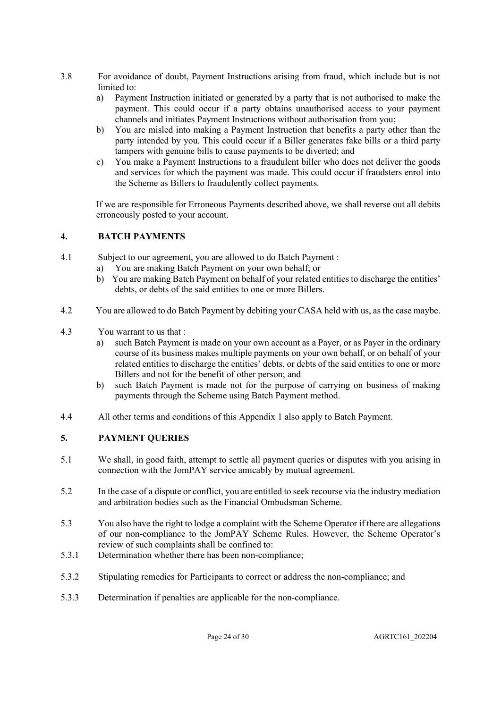- 3.8 For avoidance of doubt, Payment Instructions arising from fraud, which include but is not limited to:
	- a) Payment Instruction initiated or generated by a party that is not authorised to make the payment. This could occur if a party obtains unauthorised access to your payment channels and initiates Payment Instructions without authorisation from you;
	- b) You are misled into making a Payment Instruction that benefits a party other than the party intended by you. This could occur if a Biller generates fake bills or a third party tampers with genuine bills to cause payments to be diverted; and
	- c) You make a Payment Instructions to a fraudulent biller who does not deliver the goods and services for which the payment was made. This could occur if fraudsters enrol into the Scheme as Billers to fraudulently collect payments.

If we are responsible for Erroneous Payments described above, we shall reverse out all debits erroneously posted to your account.

# **4. BATCH PAYMENTS**

- 4.1 Subject to our agreement, you are allowed to do Batch Payment :
	- a) You are making Batch Payment on your own behalf; or
	- b) You are making Batch Payment on behalf of your related entities to discharge the entities' debts, or debts of the said entities to one or more Billers.
- 4.2 You are allowed to do Batch Payment by debiting your CASA held with us, as the case maybe.
- 4.3 You warrant to us that :
	- a) such Batch Payment is made on your own account as a Payer, or as Payer in the ordinary course of its business makes multiple payments on your own behalf, or on behalf of your related entities to discharge the entities' debts, or debts of the said entities to one or more Billers and not for the benefit of other person; and
	- b) such Batch Payment is made not for the purpose of carrying on business of making payments through the Scheme using Batch Payment method.
- 4.4 All other terms and conditions of this Appendix 1 also apply to Batch Payment.

# **5. PAYMENT QUERIES**

- 5.1 We shall, in good faith, attempt to settle all payment queries or disputes with you arising in connection with the JomPAY service amicably by mutual agreement.
- 5.2 In the case of a dispute or conflict, you are entitled to seek recourse via the industry mediation and arbitration bodies such as the Financial Ombudsman Scheme.
- 5.3 You also have the right to lodge a complaint with the Scheme Operator if there are allegations of our non-compliance to the JomPAY Scheme Rules. However, the Scheme Operator's review of such complaints shall be confined to:
- 5.3.1 Determination whether there has been non-compliance;
- 5.3.2 Stipulating remedies for Participants to correct or address the non-compliance; and
- 5.3.3 Determination if penalties are applicable for the non-compliance.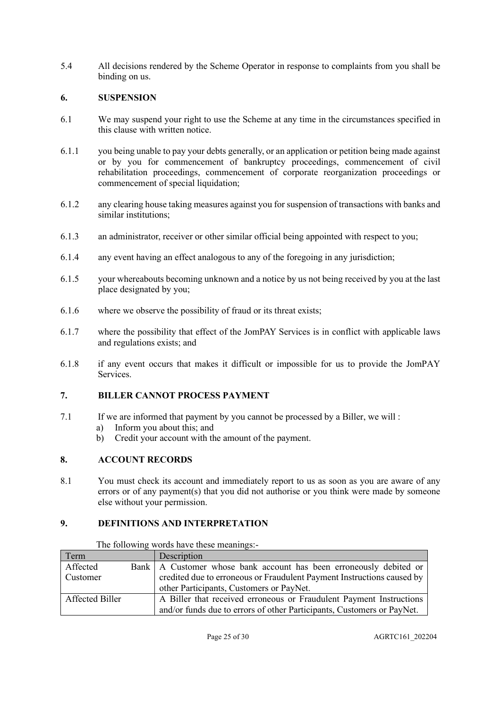5.4 All decisions rendered by the Scheme Operator in response to complaints from you shall be binding on us.

## **6. SUSPENSION**

- 6.1 We may suspend your right to use the Scheme at any time in the circumstances specified in this clause with written notice.
- 6.1.1 you being unable to pay your debts generally, or an application or petition being made against or by you for commencement of bankruptcy proceedings, commencement of civil rehabilitation proceedings, commencement of corporate reorganization proceedings or commencement of special liquidation;
- 6.1.2 any clearing house taking measures against you for suspension of transactions with banks and similar institutions;
- 6.1.3 an administrator, receiver or other similar official being appointed with respect to you;
- 6.1.4 any event having an effect analogous to any of the foregoing in any jurisdiction;
- 6.1.5 your whereabouts becoming unknown and a notice by us not being received by you at the last place designated by you;
- 6.1.6 where we observe the possibility of fraud or its threat exists;
- 6.1.7 where the possibility that effect of the JomPAY Services is in conflict with applicable laws and regulations exists; and
- 6.1.8 if any event occurs that makes it difficult or impossible for us to provide the JomPAY Services.

# **7. BILLER CANNOT PROCESS PAYMENT**

- 7.1 If we are informed that payment by you cannot be processed by a Biller, we will :
	- a) Inform you about this; and
	- b) Credit your account with the amount of the payment.

# **8. ACCOUNT RECORDS**

8.1 You must check its account and immediately report to us as soon as you are aware of any errors or of any payment(s) that you did not authorise or you think were made by someone else without your permission.

# **9. DEFINITIONS AND INTERPRETATION**

| Term            |  | Description                                                            |  |  |
|-----------------|--|------------------------------------------------------------------------|--|--|
| Affected        |  | Bank   A Customer whose bank account has been erroneously debited or   |  |  |
| Customer        |  | credited due to erroneous or Fraudulent Payment Instructions caused by |  |  |
|                 |  | other Participants, Customers or PayNet.                               |  |  |
| Affected Biller |  | A Biller that received erroneous or Fraudulent Payment Instructions    |  |  |
|                 |  | and/or funds due to errors of other Participants, Customers or PayNet. |  |  |

The following words have these meanings:-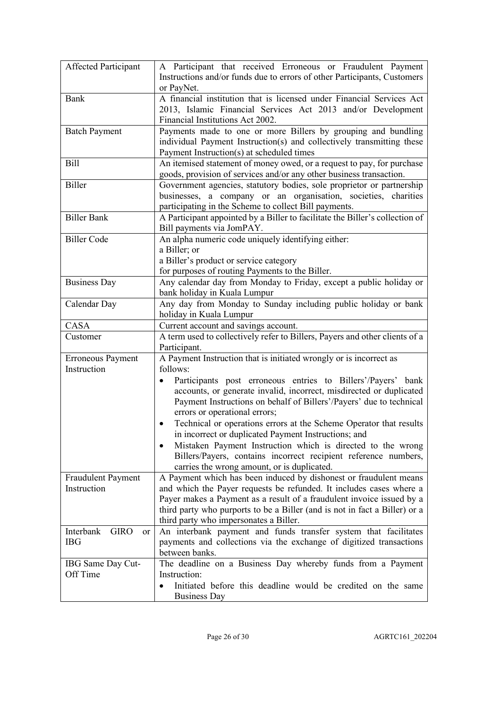| Affected Participant                                    | A Participant that received Erroneous or Fraudulent Payment<br>Instructions and/or funds due to errors of other Participants, Customers<br>or PayNet.                                                                                                                                                                                                                                                                                                                                                                                                                                                                                                                  |  |  |
|---------------------------------------------------------|------------------------------------------------------------------------------------------------------------------------------------------------------------------------------------------------------------------------------------------------------------------------------------------------------------------------------------------------------------------------------------------------------------------------------------------------------------------------------------------------------------------------------------------------------------------------------------------------------------------------------------------------------------------------|--|--|
| Bank                                                    | A financial institution that is licensed under Financial Services Act<br>2013, Islamic Financial Services Act 2013 and/or Development<br>Financial Institutions Act 2002.                                                                                                                                                                                                                                                                                                                                                                                                                                                                                              |  |  |
| <b>Batch Payment</b>                                    | Payments made to one or more Billers by grouping and bundling<br>individual Payment Instruction(s) and collectively transmitting these<br>Payment Instruction(s) at scheduled times                                                                                                                                                                                                                                                                                                                                                                                                                                                                                    |  |  |
| <b>Bill</b>                                             | An itemised statement of money owed, or a request to pay, for purchase<br>goods, provision of services and/or any other business transaction.                                                                                                                                                                                                                                                                                                                                                                                                                                                                                                                          |  |  |
| Biller                                                  | Government agencies, statutory bodies, sole proprietor or partnership<br>businesses, a company or an organisation, societies, charities<br>participating in the Scheme to collect Bill payments.                                                                                                                                                                                                                                                                                                                                                                                                                                                                       |  |  |
| <b>Biller Bank</b>                                      | A Participant appointed by a Biller to facilitate the Biller's collection of<br>Bill payments via JomPAY.                                                                                                                                                                                                                                                                                                                                                                                                                                                                                                                                                              |  |  |
| <b>Biller Code</b>                                      | An alpha numeric code uniquely identifying either:<br>a Biller; or<br>a Biller's product or service category<br>for purposes of routing Payments to the Biller.                                                                                                                                                                                                                                                                                                                                                                                                                                                                                                        |  |  |
| <b>Business Day</b>                                     | Any calendar day from Monday to Friday, except a public holiday or<br>bank holiday in Kuala Lumpur                                                                                                                                                                                                                                                                                                                                                                                                                                                                                                                                                                     |  |  |
| Calendar Day                                            | Any day from Monday to Sunday including public holiday or bank<br>holiday in Kuala Lumpur                                                                                                                                                                                                                                                                                                                                                                                                                                                                                                                                                                              |  |  |
| CASA                                                    | Current account and savings account.                                                                                                                                                                                                                                                                                                                                                                                                                                                                                                                                                                                                                                   |  |  |
| Customer                                                | A term used to collectively refer to Billers, Payers and other clients of a<br>Participant.                                                                                                                                                                                                                                                                                                                                                                                                                                                                                                                                                                            |  |  |
| Erroneous Payment<br>Instruction                        | A Payment Instruction that is initiated wrongly or is incorrect as<br>follows:<br>Participants post erroneous entries to Billers'/Payers' bank<br>$\bullet$<br>accounts, or generate invalid, incorrect, misdirected or duplicated<br>Payment Instructions on behalf of Billers'/Payers' due to technical<br>errors or operational errors;<br>Technical or operations errors at the Scheme Operator that results<br>in incorrect or duplicated Payment Instructions; and<br>Mistaken Payment Instruction which is directed to the wrong<br>$\bullet$<br>Billers/Payers, contains incorrect recipient reference numbers,<br>carries the wrong amount, or is duplicated. |  |  |
| <b>Fraudulent Payment</b><br>Instruction                | A Payment which has been induced by dishonest or fraudulent means<br>and which the Payer requests be refunded. It includes cases where a<br>Payer makes a Payment as a result of a fraudulent invoice issued by a<br>third party who purports to be a Biller (and is not in fact a Biller) or a<br>third party who impersonates a Biller.                                                                                                                                                                                                                                                                                                                              |  |  |
| Interbank<br><b>GIRO</b><br><sub>or</sub><br><b>IBG</b> | An interbank payment and funds transfer system that facilitates<br>payments and collections via the exchange of digitized transactions<br>between banks.                                                                                                                                                                                                                                                                                                                                                                                                                                                                                                               |  |  |
| IBG Same Day Cut-<br>Off Time                           | The deadline on a Business Day whereby funds from a Payment<br>Instruction:<br>Initiated before this deadline would be credited on the same<br>$\bullet$<br><b>Business Day</b>                                                                                                                                                                                                                                                                                                                                                                                                                                                                                        |  |  |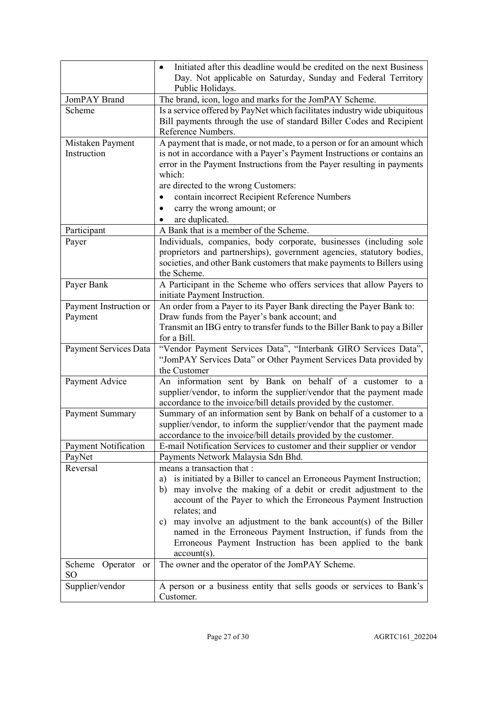|                                       | Initiated after this deadline would be credited on the next Business<br>Day. Not applicable on Saturday, Sunday and Federal Territory<br>Public Holidays.                                                                                                                                                                                                                                                                                                                                |  |
|---------------------------------------|------------------------------------------------------------------------------------------------------------------------------------------------------------------------------------------------------------------------------------------------------------------------------------------------------------------------------------------------------------------------------------------------------------------------------------------------------------------------------------------|--|
| JomPAY Brand                          | The brand, icon, logo and marks for the JomPAY Scheme.                                                                                                                                                                                                                                                                                                                                                                                                                                   |  |
| Scheme                                | Is a service offered by PayNet which facilitates industry wide ubiquitous<br>Bill payments through the use of standard Biller Codes and Recipient<br>Reference Numbers.                                                                                                                                                                                                                                                                                                                  |  |
| Mistaken Payment<br>Instruction       | A payment that is made, or not made, to a person or for an amount which<br>is not in accordance with a Payer's Payment Instructions or contains an<br>error in the Payment Instructions from the Payer resulting in payments<br>which:<br>are directed to the wrong Customers:<br>contain incorrect Recipient Reference Numbers<br>carry the wrong amount; or<br>are duplicated.                                                                                                         |  |
| Participant                           | A Bank that is a member of the Scheme.                                                                                                                                                                                                                                                                                                                                                                                                                                                   |  |
| Payer                                 | Individuals, companies, body corporate, businesses (including sole<br>proprietors and partnerships), government agencies, statutory bodies,<br>societies, and other Bank customers that make payments to Billers using<br>the Scheme.                                                                                                                                                                                                                                                    |  |
| Payer Bank                            | A Participant in the Scheme who offers services that allow Payers to<br>initiate Payment Instruction.                                                                                                                                                                                                                                                                                                                                                                                    |  |
| Payment Instruction or                | An order from a Payer to its Payer Bank directing the Payer Bank to:                                                                                                                                                                                                                                                                                                                                                                                                                     |  |
| Payment                               | Draw funds from the Payer's bank account; and<br>Transmit an IBG entry to transfer funds to the Biller Bank to pay a Biller<br>for a Bill.                                                                                                                                                                                                                                                                                                                                               |  |
| Payment Services Data                 | "Vendor Payment Services Data", "Interbank GIRO Services Data",<br>"JomPAY Services Data" or Other Payment Services Data provided by<br>the Customer                                                                                                                                                                                                                                                                                                                                     |  |
| Payment Advice                        | An information sent by Bank on behalf of a customer to a<br>supplier/vendor, to inform the supplier/vendor that the payment made<br>accordance to the invoice/bill details provided by the customer.                                                                                                                                                                                                                                                                                     |  |
| Payment Summary                       | Summary of an information sent by Bank on behalf of a customer to a<br>supplier/vendor, to inform the supplier/vendor that the payment made<br>accordance to the invoice/bill details provided by the customer.                                                                                                                                                                                                                                                                          |  |
| <b>Payment Notification</b>           | E-mail Notification Services to customer and their supplier or vendor                                                                                                                                                                                                                                                                                                                                                                                                                    |  |
| PayNet                                | Payments Network Malaysia Sdn Bhd.                                                                                                                                                                                                                                                                                                                                                                                                                                                       |  |
| Reversal                              | means a transaction that :<br>is initiated by a Biller to cancel an Erroneous Payment Instruction;<br>a)<br>may involve the making of a debit or credit adjustment to the<br>b)<br>account of the Payer to which the Erroneous Payment Instruction<br>relates; and<br>c) may involve an adjustment to the bank account(s) of the Biller<br>named in the Erroneous Payment Instruction, if funds from the<br>Erroneous Payment Instruction has been applied to the bank<br>$account(s)$ . |  |
| Scheme Operator or<br>SO <sub>1</sub> | The owner and the operator of the JomPAY Scheme.                                                                                                                                                                                                                                                                                                                                                                                                                                         |  |
| Supplier/vendor                       | A person or a business entity that sells goods or services to Bank's<br>Customer.                                                                                                                                                                                                                                                                                                                                                                                                        |  |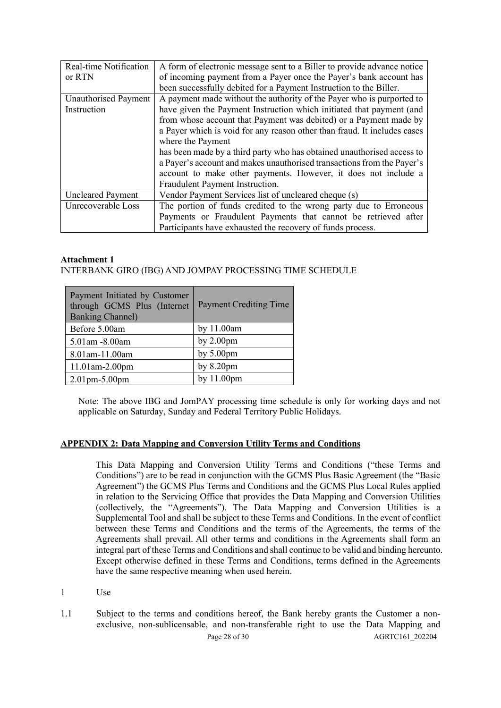| Real-time Notification   | A form of electronic message sent to a Biller to provide advance notice  |  |
|--------------------------|--------------------------------------------------------------------------|--|
| or RTN                   | of incoming payment from a Payer once the Payer's bank account has       |  |
|                          | been successfully debited for a Payment Instruction to the Biller.       |  |
| Unauthorised Payment     | A payment made without the authority of the Payer who is purported to    |  |
| Instruction              | have given the Payment Instruction which initiated that payment (and     |  |
|                          | from whose account that Payment was debited) or a Payment made by        |  |
|                          | a Payer which is void for any reason other than fraud. It includes cases |  |
|                          | where the Payment                                                        |  |
|                          | has been made by a third party who has obtained unauthorised access to   |  |
|                          | a Payer's account and makes unauthorised transactions from the Payer's   |  |
|                          | account to make other payments. However, it does not include a           |  |
|                          | Fraudulent Payment Instruction.                                          |  |
| <b>Uncleared Payment</b> | Vendor Payment Services list of uncleared cheque (s)                     |  |
| Unrecoverable Loss       | The portion of funds credited to the wrong party due to Erroneous        |  |
|                          | Payments or Fraudulent Payments that cannot be retrieved after           |  |
|                          | Participants have exhausted the recovery of funds process.               |  |

#### **Attachment 1**

## INTERBANK GIRO (IBG) AND JOMPAY PROCESSING TIME SCHEDULE

| Payment Initiated by Customer<br>through GCMS Plus (Internet<br><b>Banking Channel)</b> | <b>Payment Crediting Time</b> |
|-----------------------------------------------------------------------------------------|-------------------------------|
| Before 5.00am                                                                           | by 11.00am                    |
| 5.01am -8.00am                                                                          | by $2.00$ pm                  |
| 8.01am-11.00am                                                                          | by $5.00 \text{pm}$           |
| $11.01$ am-2.00pm                                                                       | by $8.20$ pm                  |
| $\vert 2.01$ pm - 5.00 pm                                                               | by 11.00pm                    |

Note: The above IBG and JomPAY processing time schedule is only for working days and not applicable on Saturday, Sunday and Federal Territory Public Holidays.

## **APPENDIX 2: Data Mapping and Conversion Utility Terms and Conditions**

This Data Mapping and Conversion Utility Terms and Conditions ("these Terms and Conditions") are to be read in conjunction with the GCMS Plus Basic Agreement (the "Basic Agreement") the GCMS Plus Terms and Conditions and the GCMS Plus Local Rules applied in relation to the Servicing Office that provides the Data Mapping and Conversion Utilities (collectively, the "Agreements"). The Data Mapping and Conversion Utilities is a Supplemental Tool and shall be subject to these Terms and Conditions. In the event of conflict between these Terms and Conditions and the terms of the Agreements, the terms of the Agreements shall prevail. All other terms and conditions in the Agreements shall form an integral part of these Terms and Conditions and shall continue to be valid and binding hereunto. Except otherwise defined in these Terms and Conditions, terms defined in the Agreements have the same respective meaning when used herein.

1 Use

Page 28 of 30 AGRTC161 202204 1.1 Subject to the terms and conditions hereof, the Bank hereby grants the Customer a nonexclusive, non-sublicensable, and non-transferable right to use the Data Mapping and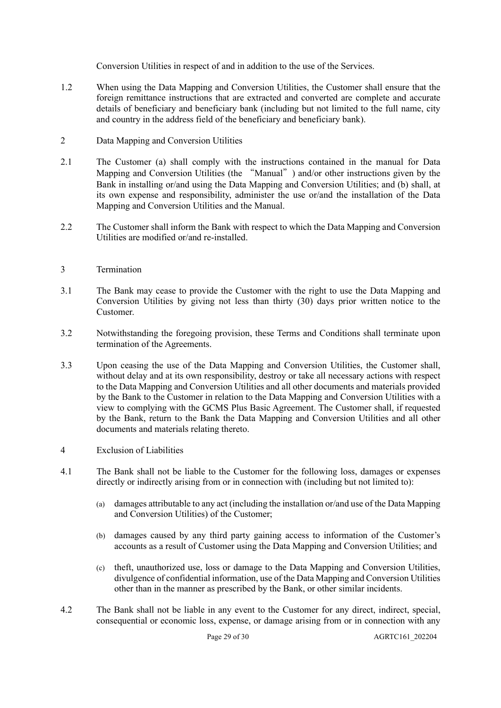Conversion Utilities in respect of and in addition to the use of the Services.

- 1.2 When using the Data Mapping and Conversion Utilities, the Customer shall ensure that the foreign remittance instructions that are extracted and converted are complete and accurate details of beneficiary and beneficiary bank (including but not limited to the full name, city and country in the address field of the beneficiary and beneficiary bank).
- 2 Data Mapping and Conversion Utilities
- 2.1 The Customer (a) shall comply with the instructions contained in the manual for Data Mapping and Conversion Utilities (the "Manual") and/or other instructions given by the Bank in installing or/and using the Data Mapping and Conversion Utilities; and (b) shall, at its own expense and responsibility, administer the use or/and the installation of the Data Mapping and Conversion Utilities and the Manual.
- 2.2 The Customer shall inform the Bank with respect to which the Data Mapping and Conversion Utilities are modified or/and re-installed.
- 3 Termination
- 3.1 The Bank may cease to provide the Customer with the right to use the Data Mapping and Conversion Utilities by giving not less than thirty (30) days prior written notice to the Customer.
- 3.2 Notwithstanding the foregoing provision, these Terms and Conditions shall terminate upon termination of the Agreements.
- 3.3 Upon ceasing the use of the Data Mapping and Conversion Utilities, the Customer shall, without delay and at its own responsibility, destroy or take all necessary actions with respect to the Data Mapping and Conversion Utilities and all other documents and materials provided by the Bank to the Customer in relation to the Data Mapping and Conversion Utilities with a view to complying with the GCMS Plus Basic Agreement. The Customer shall, if requested by the Bank, return to the Bank the Data Mapping and Conversion Utilities and all other documents and materials relating thereto.
- 4 Exclusion of Liabilities
- 4.1 The Bank shall not be liable to the Customer for the following loss, damages or expenses directly or indirectly arising from or in connection with (including but not limited to):
	- (a) damages attributable to any act (including the installation or/and use of the Data Mapping and Conversion Utilities) of the Customer;
	- (b) damages caused by any third party gaining access to information of the Customer's accounts as a result of Customer using the Data Mapping and Conversion Utilities; and
	- (c) theft, unauthorized use, loss or damage to the Data Mapping and Conversion Utilities, divulgence of confidential information, use of the Data Mapping and Conversion Utilities other than in the manner as prescribed by the Bank, or other similar incidents.
- 4.2 The Bank shall not be liable in any event to the Customer for any direct, indirect, special, consequential or economic loss, expense, or damage arising from or in connection with any